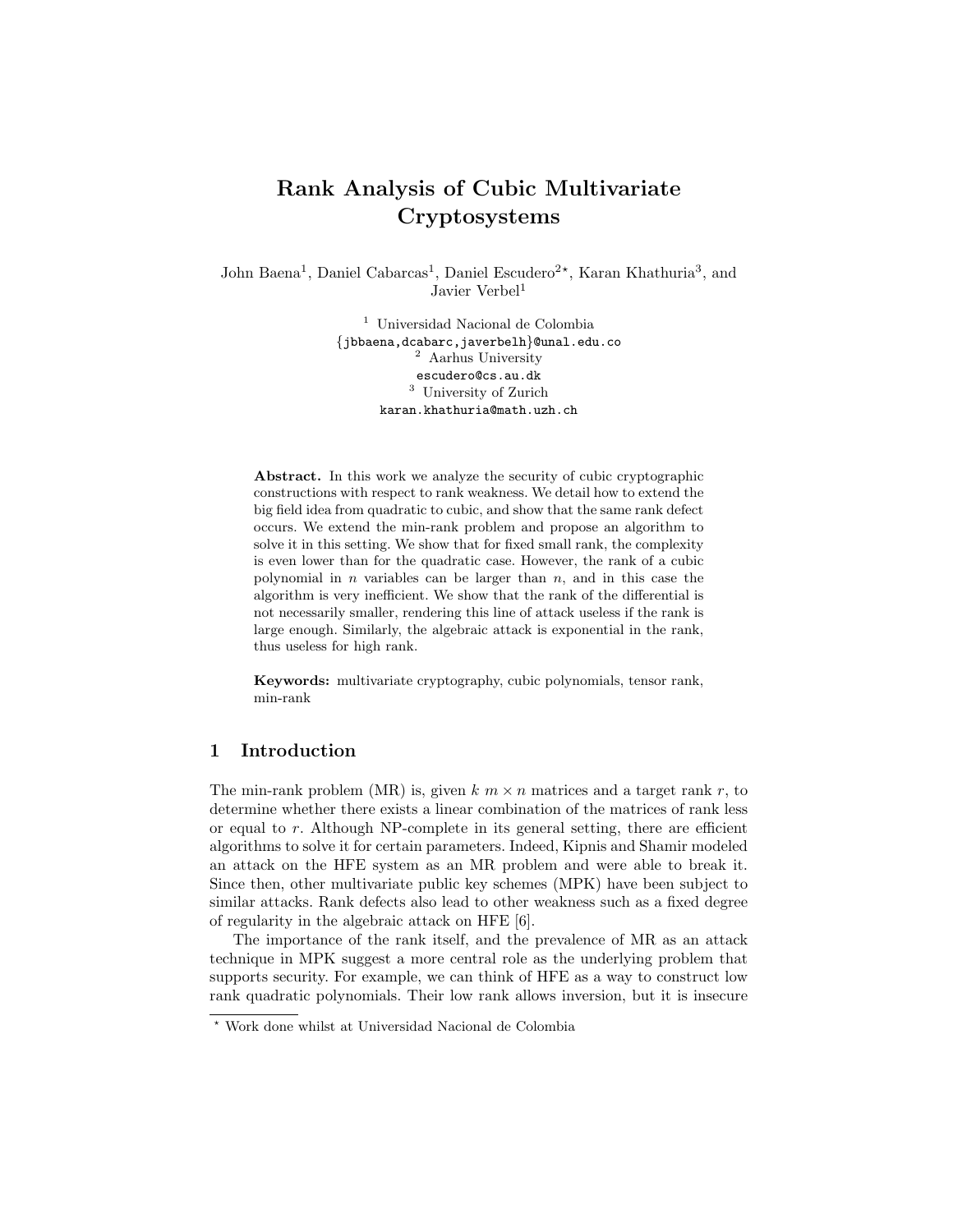# Rank Analysis of Cubic Multivariate Cryptosystems

John Baena<sup>1</sup>, Daniel Cabarcas<sup>1</sup>, Daniel Escudero<sup>2\*</sup>, Karan Khathuria<sup>3</sup>, and Javier Verbel<sup>1</sup>

> <sup>1</sup> Universidad Nacional de Colombia {jbbaena,dcabarc,javerbelh}@unal.edu.co <sup>2</sup> Aarhus University escudero@cs.au.dk <sup>3</sup> University of Zurich karan.khathuria@math.uzh.ch

Abstract. In this work we analyze the security of cubic cryptographic constructions with respect to rank weakness. We detail how to extend the big field idea from quadratic to cubic, and show that the same rank defect occurs. We extend the min-rank problem and propose an algorithm to solve it in this setting. We show that for fixed small rank, the complexity is even lower than for the quadratic case. However, the rank of a cubic polynomial in *n* variables can be larger than *n*, and in this case the algorithm is very inefficient. We show that the rank of the differential is not necessarily smaller, rendering this line of attack useless if the rank is large enough. Similarly, the algebraic attack is exponential in the rank, thus useless for high rank.

Keywords: multivariate cryptography, cubic polynomials, tensor rank, min-rank

# 1 Introduction

The min-rank problem (MR) is, given  $k \, m \times n$  matrices and a target rank r, to determine whether there exists a linear combination of the matrices of rank less or equal to  $r$ . Although NP-complete in its general setting, there are efficient algorithms to solve it for certain parameters. Indeed, Kipnis and Shamir modeled an attack on the HFE system as an MR problem and were able to break it. Since then, other multivariate public key schemes (MPK) have been subject to similar attacks. Rank defects also lead to other weakness such as a fixed degree of regularity in the algebraic attack on HFE [6].

The importance of the rank itself, and the prevalence of MR as an attack technique in MPK suggest a more central role as the underlying problem that supports security. For example, we can think of HFE as a way to construct low rank quadratic polynomials. Their low rank allows inversion, but it is insecure

<sup>?</sup> Work done whilst at Universidad Nacional de Colombia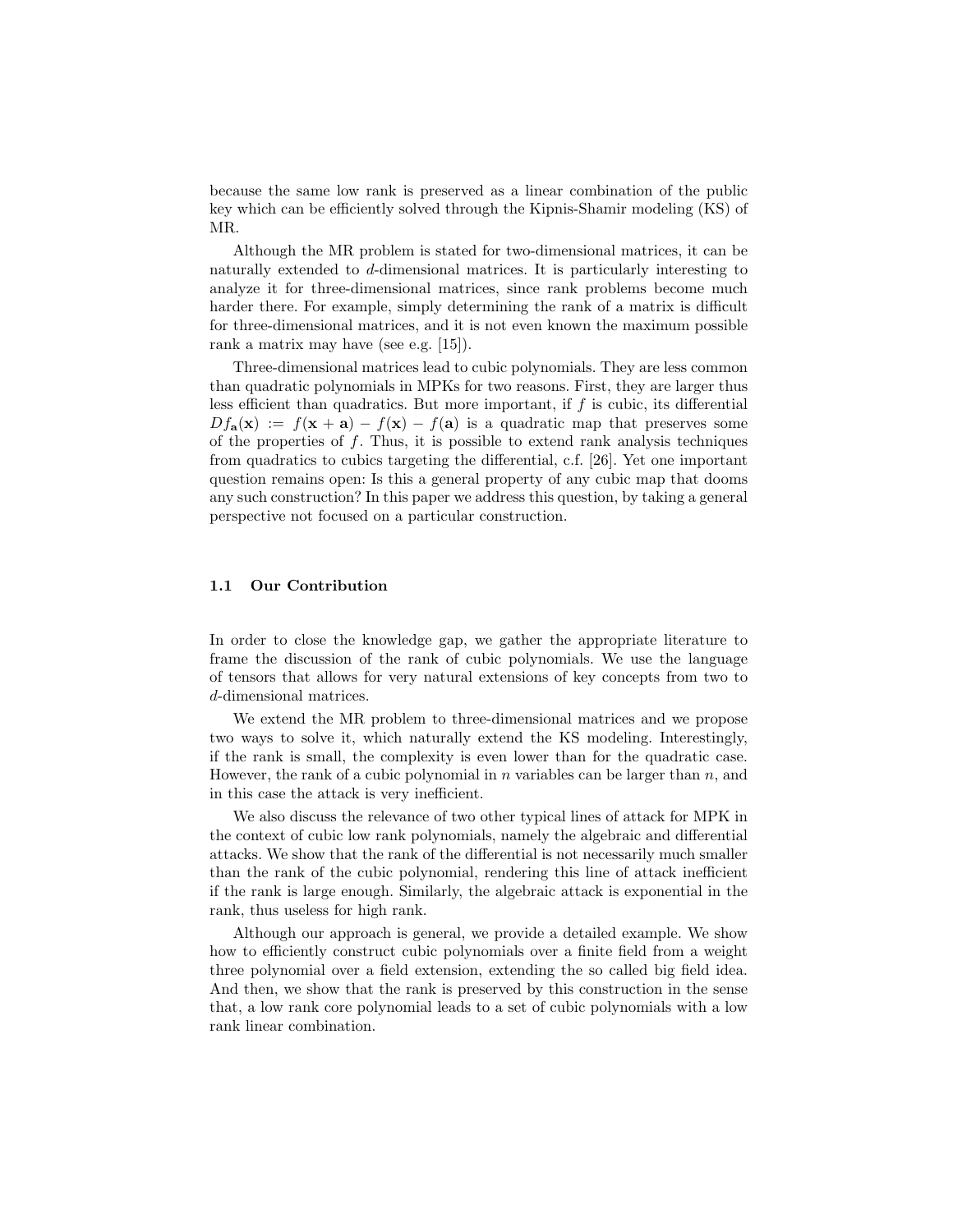because the same low rank is preserved as a linear combination of the public key which can be efficiently solved through the Kipnis-Shamir modeling (KS) of MR.

Although the MR problem is stated for two-dimensional matrices, it can be naturally extended to d-dimensional matrices. It is particularly interesting to analyze it for three-dimensional matrices, since rank problems become much harder there. For example, simply determining the rank of a matrix is difficult for three-dimensional matrices, and it is not even known the maximum possible rank a matrix may have (see e.g. [15]).

Three-dimensional matrices lead to cubic polynomials. They are less common than quadratic polynomials in MPKs for two reasons. First, they are larger thus less efficient than quadratics. But more important, if  $f$  is cubic, its differential  $Df_{\mathbf{a}}(\mathbf{x}) := f(\mathbf{x} + \mathbf{a}) - f(\mathbf{x}) - f(\mathbf{a})$  is a quadratic map that preserves some of the properties of  $f$ . Thus, it is possible to extend rank analysis techniques from quadratics to cubics targeting the differential, c.f. [26]. Yet one important question remains open: Is this a general property of any cubic map that dooms any such construction? In this paper we address this question, by taking a general perspective not focused on a particular construction.

## 1.1 Our Contribution

In order to close the knowledge gap, we gather the appropriate literature to frame the discussion of the rank of cubic polynomials. We use the language of tensors that allows for very natural extensions of key concepts from two to d-dimensional matrices.

We extend the MR problem to three-dimensional matrices and we propose two ways to solve it, which naturally extend the KS modeling. Interestingly, if the rank is small, the complexity is even lower than for the quadratic case. However, the rank of a cubic polynomial in n variables can be larger than  $n$ , and in this case the attack is very inefficient.

We also discuss the relevance of two other typical lines of attack for MPK in the context of cubic low rank polynomials, namely the algebraic and differential attacks. We show that the rank of the differential is not necessarily much smaller than the rank of the cubic polynomial, rendering this line of attack inefficient if the rank is large enough. Similarly, the algebraic attack is exponential in the rank, thus useless for high rank.

Although our approach is general, we provide a detailed example. We show how to efficiently construct cubic polynomials over a finite field from a weight three polynomial over a field extension, extending the so called big field idea. And then, we show that the rank is preserved by this construction in the sense that, a low rank core polynomial leads to a set of cubic polynomials with a low rank linear combination.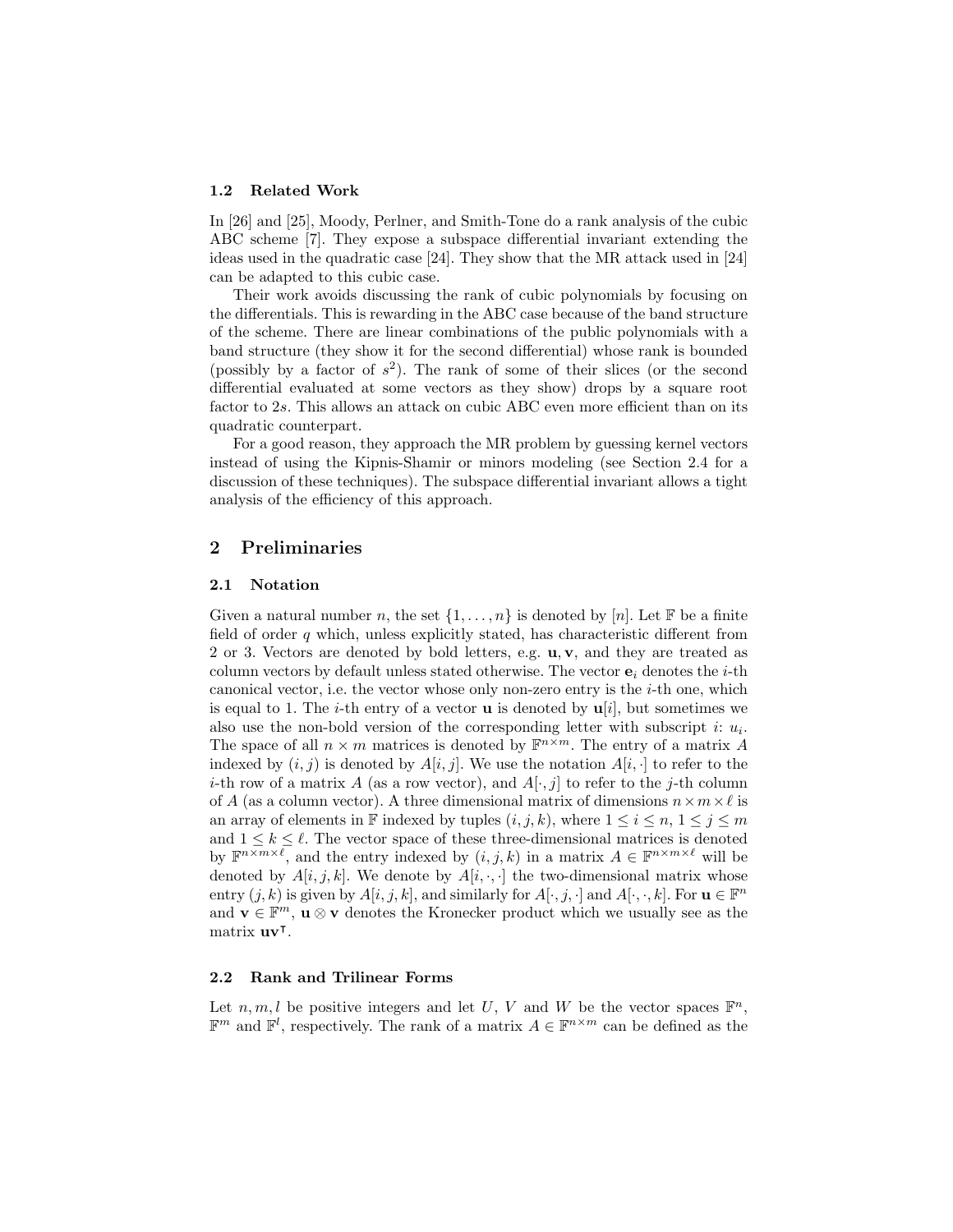### 1.2 Related Work

In [26] and [25], Moody, Perlner, and Smith-Tone do a rank analysis of the cubic ABC scheme [7]. They expose a subspace differential invariant extending the ideas used in the quadratic case [24]. They show that the MR attack used in [24] can be adapted to this cubic case.

Their work avoids discussing the rank of cubic polynomials by focusing on the differentials. This is rewarding in the ABC case because of the band structure of the scheme. There are linear combinations of the public polynomials with a band structure (they show it for the second differential) whose rank is bounded (possibly by a factor of  $s^2$ ). The rank of some of their slices (or the second differential evaluated at some vectors as they show) drops by a square root factor to 2s. This allows an attack on cubic ABC even more efficient than on its quadratic counterpart.

For a good reason, they approach the MR problem by guessing kernel vectors instead of using the Kipnis-Shamir or minors modeling (see Section 2.4 for a discussion of these techniques). The subspace differential invariant allows a tight analysis of the efficiency of this approach.

# 2 Preliminaries

#### 2.1 Notation

Given a natural number n, the set  $\{1, \ldots, n\}$  is denoted by [n]. Let F be a finite field of order  $q$  which, unless explicitly stated, has characteristic different from 2 or 3. Vectors are denoted by bold letters, e.g. u, v, and they are treated as column vectors by default unless stated otherwise. The vector  $e_i$  denotes the *i*-th canonical vector, i.e. the vector whose only non-zero entry is the i-th one, which is equal to 1. The *i*-th entry of a vector **u** is denoted by  $u[i]$ , but sometimes we also use the non-bold version of the corresponding letter with subscript  $i: u_i$ . The space of all  $n \times m$  matrices is denoted by  $\mathbb{F}^{n \times m}$ . The entry of a matrix A indexed by  $(i, j)$  is denoted by  $A[i, j]$ . We use the notation  $A[i, \cdot]$  to refer to the *i*-th row of a matrix A (as a row vector), and  $A[\cdot, j]$  to refer to the j-th column of A (as a column vector). A three dimensional matrix of dimensions  $n \times m \times \ell$  is an array of elements in F indexed by tuples  $(i, j, k)$ , where  $1 \le i \le n, 1 \le j \le m$ and  $1 \leq k \leq \ell$ . The vector space of these three-dimensional matrices is denoted by  $\mathbb{F}^{n \times m \times \ell}$ , and the entry indexed by  $(i, j, k)$  in a matrix  $A \in \mathbb{F}^{n \times m \times \ell}$  will be denoted by  $A[i, j, k]$ . We denote by  $A[i, \cdot, \cdot]$  the two-dimensional matrix whose entry  $(j, k)$  is given by  $A[i, j, k]$ , and similarly for  $A[\cdot, j, \cdot]$  and  $A[\cdot, \cdot, k]$ . For  $\mathbf{u} \in \mathbb{F}^n$ and  $\mathbf{v} \in \mathbb{F}^m$ ,  $\mathbf{u} \otimes \mathbf{v}$  denotes the Kronecker product which we usually see as the matrix  $uv^{\dagger}$ .

# 2.2 Rank and Trilinear Forms

Let  $n, m, l$  be positive integers and let U, V and W be the vector spaces  $\mathbb{F}^n$ ,  $\mathbb{F}^m$  and  $\mathbb{F}^l$ , respectively. The rank of a matrix  $A \in \mathbb{F}^{n \times m}$  can be defined as the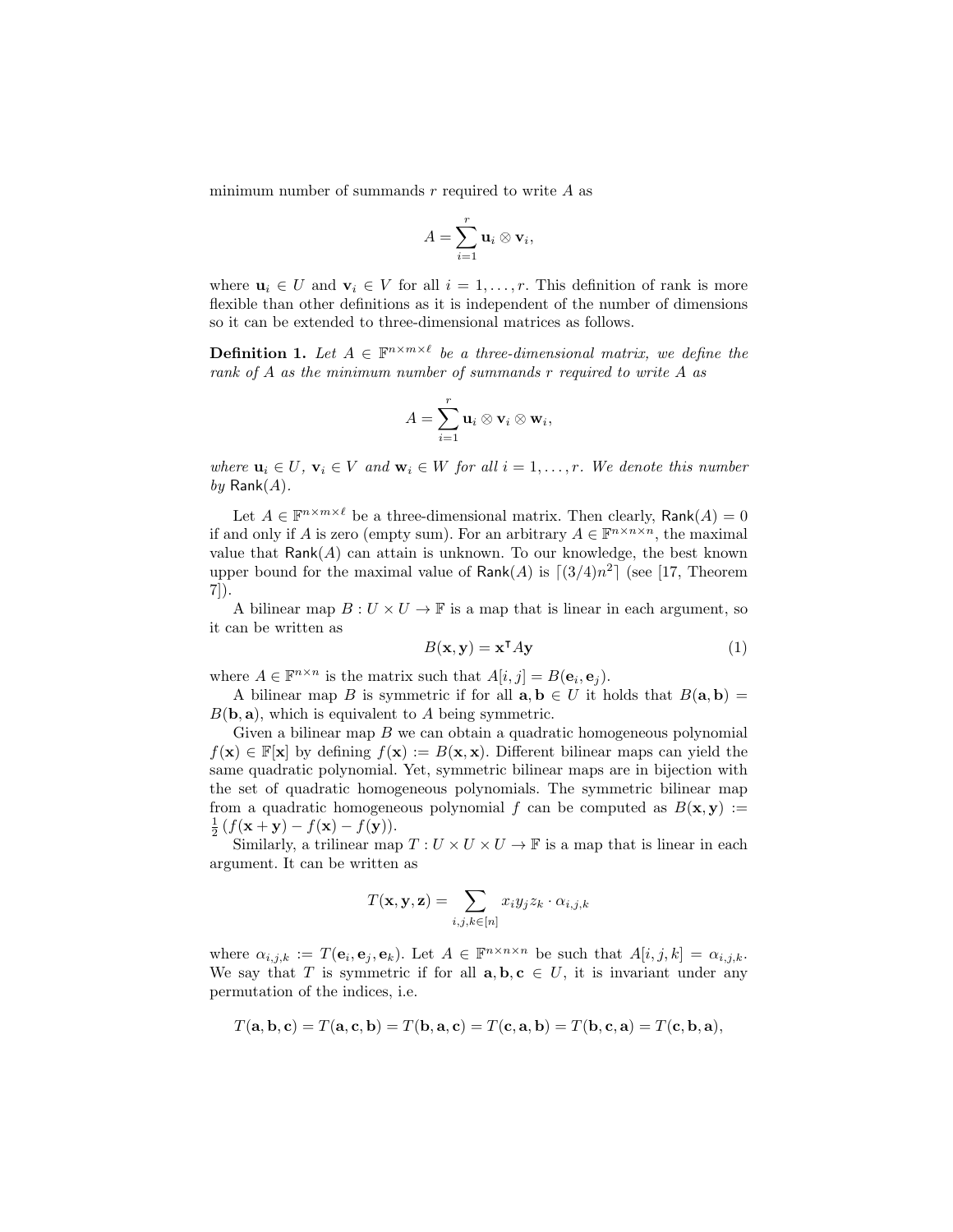minimum number of summands  $r$  required to write  $A$  as

$$
A=\sum_{i=1}^r \mathbf{u}_i\otimes \mathbf{v}_i,
$$

where  $u_i \in U$  and  $v_i \in V$  for all  $i = 1, \ldots, r$ . This definition of rank is more flexible than other definitions as it is independent of the number of dimensions so it can be extended to three-dimensional matrices as follows.

**Definition 1.** Let  $A \in \mathbb{F}^{n \times m \times \ell}$  be a three-dimensional matrix, we define the rank of  $A$  as the minimum number of summands  $r$  required to write  $A$  as

$$
A=\sum_{i=1}^r \mathbf{u}_i\otimes \mathbf{v}_i\otimes \mathbf{w}_i,
$$

where  $\mathbf{u}_i \in U$ ,  $\mathbf{v}_i \in V$  and  $\mathbf{w}_i \in W$  for all  $i = 1, \ldots, r$ . We denote this number  $bv$  Rank $(A)$ .

Let  $A \in \mathbb{F}^{n \times m \times \ell}$  be a three-dimensional matrix. Then clearly,  $\mathsf{Rank}(A) = 0$ if and only if A is zero (empty sum). For an arbitrary  $A \in \mathbb{F}^{n \times n \times n}$ , the maximal value that  $\textsf{Rank}(A)$  can attain is unknown. To our knowledge, the best known upper bound for the maximal value of  $\textsf{Rank}(A)$  is  $\lceil (3/4)n^2 \rceil$  (see [17, Theorem 7]).

A bilinear map  $B: U \times U \to \mathbb{F}$  is a map that is linear in each argument, so it can be written as

$$
B(\mathbf{x}, \mathbf{y}) = \mathbf{x}^\mathsf{T} A \mathbf{y} \tag{1}
$$

where  $A \in \mathbb{F}^{n \times n}$  is the matrix such that  $A[i, j] = B(\mathbf{e}_i, \mathbf{e}_j)$ .

A bilinear map B is symmetric if for all  $a, b \in U$  it holds that  $B(a, b) =$  $B(\mathbf{b}, \mathbf{a})$ , which is equivalent to A being symmetric.

Given a bilinear map  $B$  we can obtain a quadratic homogeneous polynomial  $f(\mathbf{x}) \in \mathbb{F}[\mathbf{x}]$  by defining  $f(\mathbf{x}) := B(\mathbf{x}, \mathbf{x})$ . Different bilinear maps can yield the same quadratic polynomial. Yet, symmetric bilinear maps are in bijection with the set of quadratic homogeneous polynomials. The symmetric bilinear map from a quadratic homogeneous polynomial f can be computed as  $B(\mathbf{x}, \mathbf{y}) :=$  $\frac{1}{2}(f(\mathbf{x} + \mathbf{y}) - f(\mathbf{x}) - f(\mathbf{y})).$ 

Similarly, a trilinear map  $T: U \times U \times U \to \mathbb{F}$  is a map that is linear in each argument. It can be written as

$$
T(\mathbf{x}, \mathbf{y}, \mathbf{z}) = \sum_{i,j,k \in [n]} x_i y_j z_k \cdot \alpha_{i,j,k}
$$

where  $\alpha_{i,j,k} := T(\mathbf{e}_i, \mathbf{e}_j, \mathbf{e}_k)$ . Let  $A \in \mathbb{F}^{n \times n \times n}$  be such that  $A[i, j, k] = \alpha_{i,j,k}$ . We say that T is symmetric if for all  $a, b, c \in U$ , it is invariant under any permutation of the indices, i.e.

$$
T(\mathbf{a}, \mathbf{b}, \mathbf{c}) = T(\mathbf{a}, \mathbf{c}, \mathbf{b}) = T(\mathbf{b}, \mathbf{a}, \mathbf{c}) = T(\mathbf{c}, \mathbf{a}, \mathbf{b}) = T(\mathbf{b}, \mathbf{c}, \mathbf{a}) = T(\mathbf{c}, \mathbf{b}, \mathbf{a}),
$$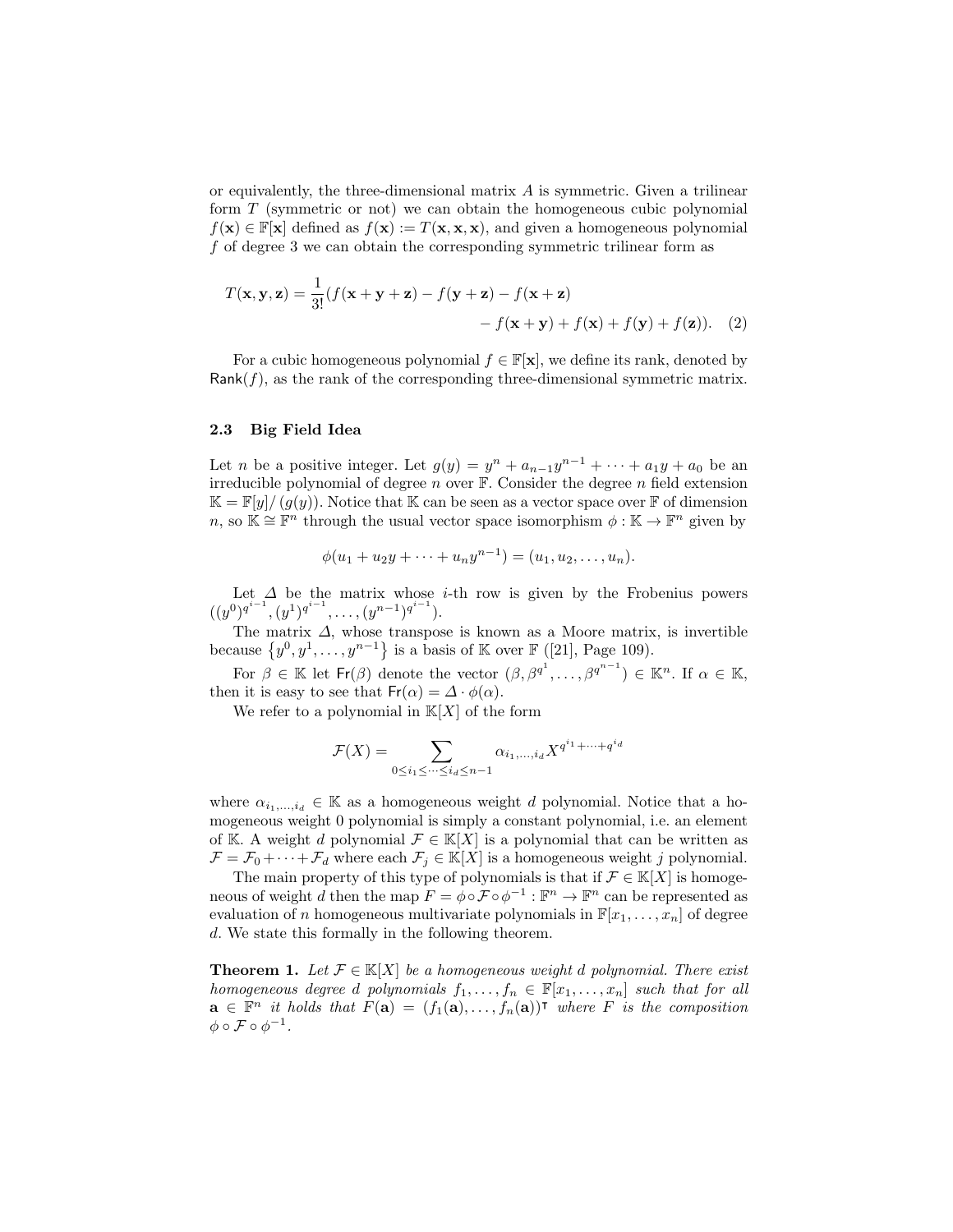or equivalently, the three-dimensional matrix  $A$  is symmetric. Given a trilinear form T (symmetric or not) we can obtain the homogeneous cubic polynomial  $f(\mathbf{x}) \in \mathbb{F}[\mathbf{x}]$  defined as  $f(\mathbf{x}) := T(\mathbf{x}, \mathbf{x}, \mathbf{x})$ , and given a homogeneous polynomial f of degree 3 we can obtain the corresponding symmetric trilinear form as

$$
T(\mathbf{x}, \mathbf{y}, \mathbf{z}) = \frac{1}{3!} (f(\mathbf{x} + \mathbf{y} + \mathbf{z}) - f(\mathbf{y} + \mathbf{z}) - f(\mathbf{x} + \mathbf{z}) - f(\mathbf{x} + \mathbf{y}) + f(\mathbf{x}) + f(\mathbf{y}) + f(\mathbf{z})). \tag{2}
$$

For a cubic homogeneous polynomial  $f \in \mathbb{F}[\mathbf{x}]$ , we define its rank, denoted by  $Rank(f)$ , as the rank of the corresponding three-dimensional symmetric matrix.

#### 2.3 Big Field Idea

Let *n* be a positive integer. Let  $g(y) = y^n + a_{n-1}y^{n-1} + \cdots + a_1y + a_0$  be an irreducible polynomial of degree  $n$  over  $\mathbb F$ . Consider the degree  $n$  field extension  $\mathbb{K} = \mathbb{F}[y]/(g(y))$ . Notice that  $\mathbb{K}$  can be seen as a vector space over  $\mathbb{F}$  of dimension n, so  $\mathbb{K} \cong \mathbb{F}^n$  through the usual vector space isomorphism  $\phi : \mathbb{K} \to \mathbb{F}^n$  given by

$$
\phi(u_1 + u_2y + \dots + u_ny^{n-1}) = (u_1, u_2, \dots, u_n).
$$

Let  $\Delta$  be the matrix whose *i*-th row is given by the Frobenius powers  $((y^0)^{q^{i-1}}, (y^1)^{q^{i-1}}, \ldots, (y^{n-1})^{q^{i-1}}).$ 

The matrix  $\Delta$ , whose transpose is known as a Moore matrix, is invertible because  $\{y^0, y^1, \ldots, y^{n-1}\}\$ is a basis of K over F ([21], Page 109).

For  $\beta \in \mathbb{K}$  let  $\mathsf{Fr}(\beta)$  denote the vector  $(\beta, \beta^{q^1}, \dots, \beta^{q^{n-1}}) \in \mathbb{K}^n$ . If  $\alpha \in \mathbb{K}$ , then it is easy to see that  $Fr(\alpha) = \Delta \cdot \phi(\alpha)$ .

We refer to a polynomial in  $K[X]$  of the form

$$
\mathcal{F}(X) = \sum_{0 \le i_1 \le \dots \le i_d \le n-1} \alpha_{i_1, \dots, i_d} X^{q^{i_1} + \dots + q^{i_d}}
$$

where  $\alpha_{i_1,\dots,i_d} \in \mathbb{K}$  as a homogeneous weight d polynomial. Notice that a homogeneous weight 0 polynomial is simply a constant polynomial, i.e. an element of K. A weight d polynomial  $\mathcal{F} \in \mathbb{K}[X]$  is a polynomial that can be written as  $\mathcal{F} = \mathcal{F}_0 + \cdots + \mathcal{F}_d$  where each  $\mathcal{F}_j \in \mathbb{K}[X]$  is a homogeneous weight j polynomial.

The main property of this type of polynomials is that if  $\mathcal{F} \in \mathbb{K}[X]$  is homogeneous of weight d then the map  $F = \phi \circ \mathcal{F} \circ \phi^{-1} : \mathbb{F}^n \to \mathbb{F}^n$  can be represented as evaluation of n homogeneous multivariate polynomials in  $\mathbb{F}[x_1, \ldots, x_n]$  of degree d. We state this formally in the following theorem.

**Theorem 1.** Let  $\mathcal{F} \in \mathbb{K}[X]$  be a homogeneous weight d polynomial. There exist homogeneous degree d polynomials  $f_1, \ldots, f_n \in \mathbb{F}[x_1, \ldots, x_n]$  such that for all  $\mathbf{a} \in \mathbb{F}^n$  it holds that  $F(\mathbf{a}) = (f_1(\mathbf{a}), \ldots, f_n(\mathbf{a}))^{\mathsf{T}}$  where F is the composition  $\phi \circ \mathcal{F} \circ \phi^{-1}.$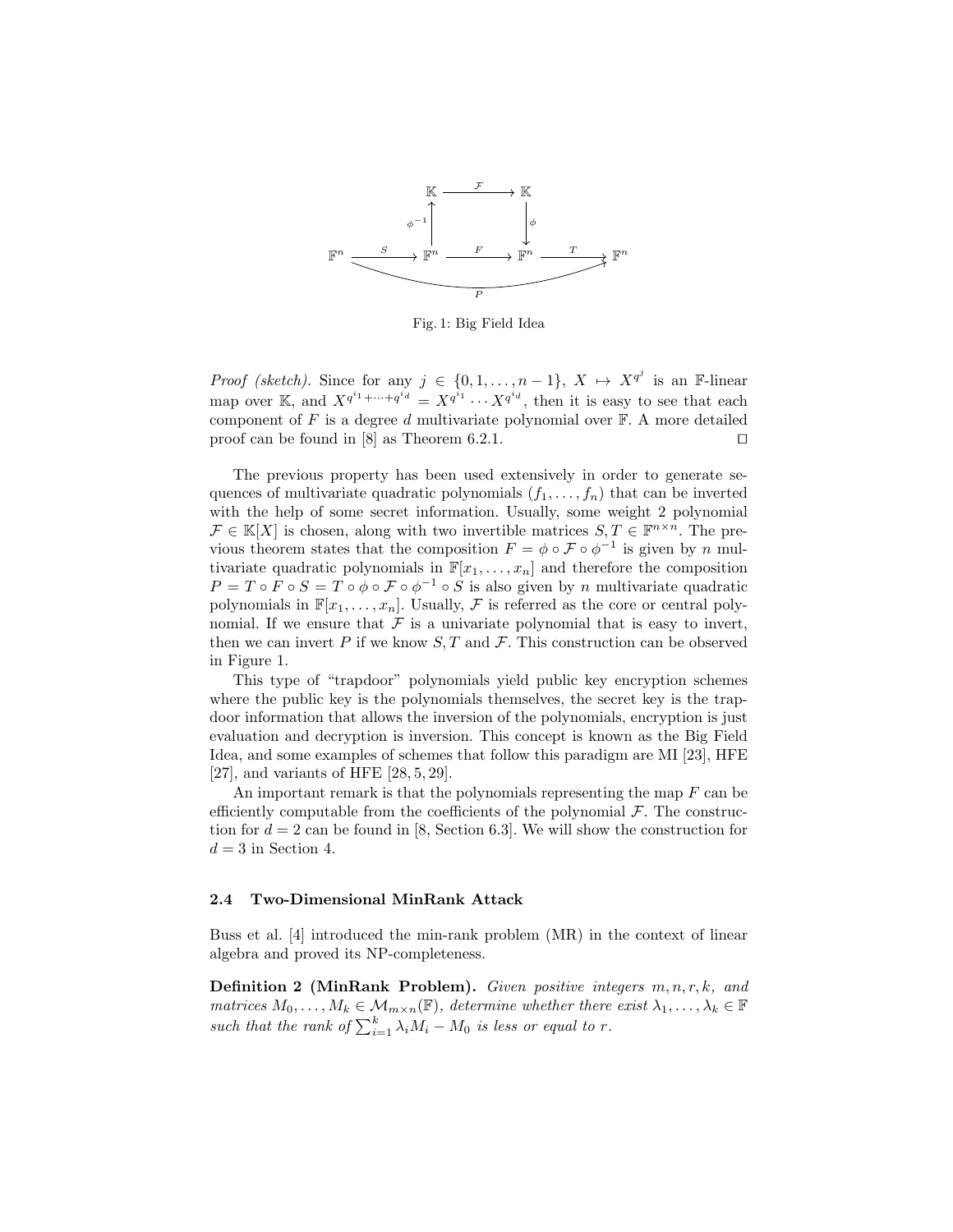

Fig. 1: Big Field Idea

*Proof (sketch)*. Since for any  $j \in \{0, 1, ..., n-1\}$ ,  $X \mapsto X^{q^j}$  is an F-linear map over K, and  $X^{q^{i_1}+\cdots+q^{i_d}} = X^{q^{i_1}}\cdots X^{q^{i_d}}$ , then it is easy to see that each component of  $F$  is a degree  $d$  multivariate polynomial over  $\mathbb{F}$ . A more detailed proof can be found in [8] as Theorem 6.2.1.  $\Box$ 

The previous property has been used extensively in order to generate sequences of multivariate quadratic polynomials  $(f_1, \ldots, f_n)$  that can be inverted with the help of some secret information. Usually, some weight 2 polynomial  $\mathcal{F} \in \mathbb{K}[X]$  is chosen, along with two invertible matrices  $S, T \in \mathbb{F}^{n \times n}$ . The previous theorem states that the composition  $F = \phi \circ \mathcal{F} \circ \phi^{-1}$  is given by n multivariate quadratic polynomials in  $\mathbb{F}[x_1, \ldots, x_n]$  and therefore the composition  $P = T \circ F \circ S = T \circ \phi \circ \mathcal{F} \circ \phi^{-1} \circ S$  is also given by *n* multivariate quadratic polynomials in  $\mathbb{F}[x_1,\ldots,x_n]$ . Usually, F is referred as the core or central polynomial. If we ensure that  $\mathcal F$  is a univariate polynomial that is easy to invert, then we can invert  $P$  if we know  $S$ ,  $T$  and  $\mathcal F$ . This construction can be observed in Figure 1.

This type of "trapdoor" polynomials yield public key encryption schemes where the public key is the polynomials themselves, the secret key is the trapdoor information that allows the inversion of the polynomials, encryption is just evaluation and decryption is inversion. This concept is known as the Big Field Idea, and some examples of schemes that follow this paradigm are MI [23], HFE [27], and variants of HFE [28, 5, 29].

An important remark is that the polynomials representing the map  $F$  can be efficiently computable from the coefficients of the polynomial  $\mathcal F$ . The construction for  $d = 2$  can be found in [8, Section 6.3]. We will show the construction for  $d = 3$  in Section 4.

## 2.4 Two-Dimensional MinRank Attack

Buss et al. [4] introduced the min-rank problem (MR) in the context of linear algebra and proved its NP-completeness.

**Definition 2 (MinRank Problem).** Given positive integers  $m, n, r, k$ , and matrices  $M_0, \ldots, M_k \in \mathcal{M}_{m \times n}(\mathbb{F})$ , determine whether there exist  $\lambda_1, \ldots, \lambda_k \in \mathbb{F}$ such that the rank of  $\sum_{i=1}^{k} \lambda_i M_i - M_0$  is less or equal to r.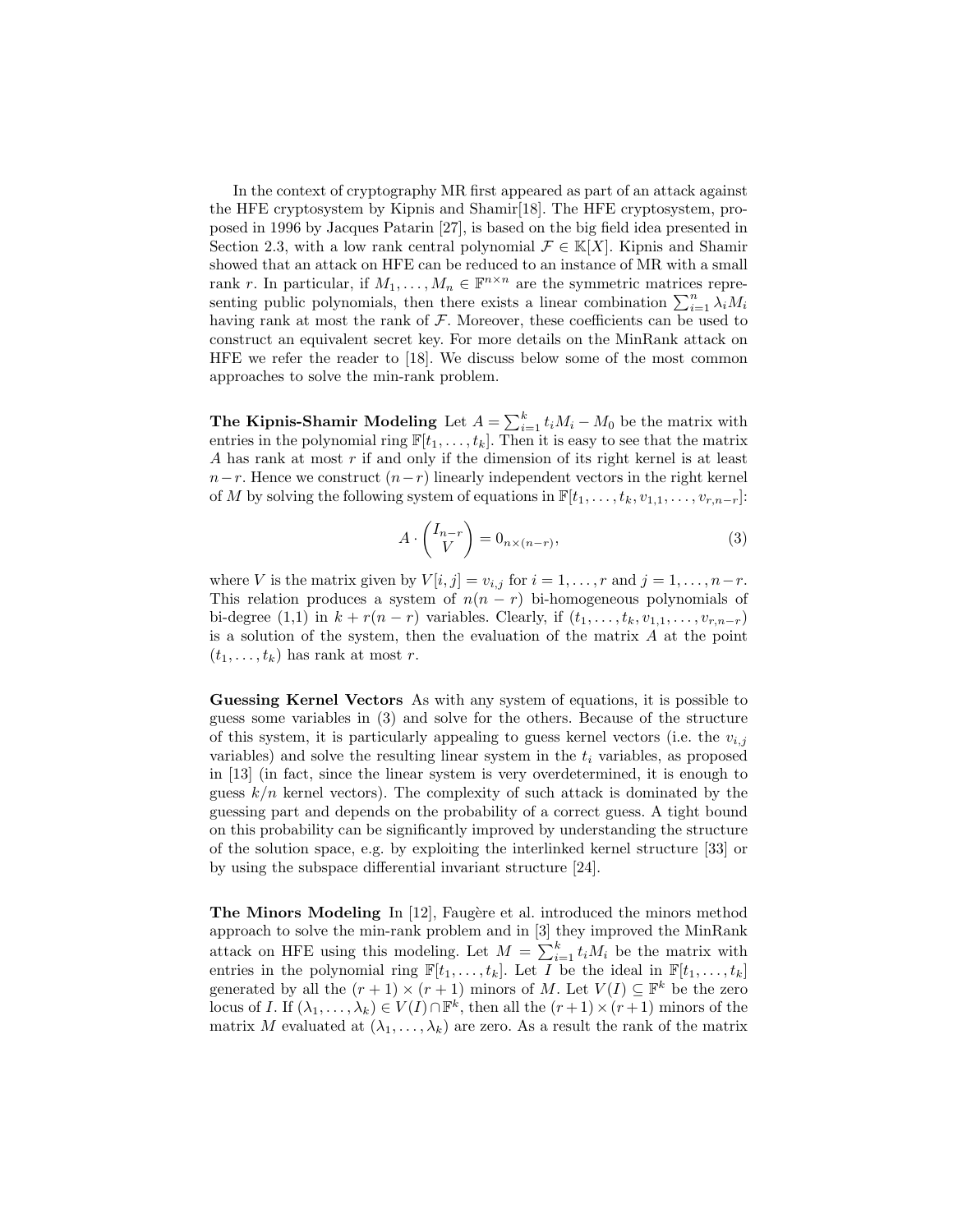In the context of cryptography MR first appeared as part of an attack against the HFE cryptosystem by Kipnis and Shamir[18]. The HFE cryptosystem, proposed in 1996 by Jacques Patarin [27], is based on the big field idea presented in Section 2.3, with a low rank central polynomial  $\mathcal{F} \in \mathbb{K}[X]$ . Kipnis and Shamir showed that an attack on HFE can be reduced to an instance of MR with a small rank r. In particular, if  $M_1, \ldots, M_n \in \mathbb{F}^{n \times n}$  are the symmetric matrices representing public polynomials, then there exists a linear combination  $\sum_{i=1}^{n} \lambda_i M_i$ having rank at most the rank of  $F$ . Moreover, these coefficients can be used to construct an equivalent secret key. For more details on the MinRank attack on HFE we refer the reader to [18]. We discuss below some of the most common approaches to solve the min-rank problem.

**The Kipnis-Shamir Modeling** Let  $A = \sum_{i=1}^{k} t_i M_i - M_0$  be the matrix with entries in the polynomial ring  $\mathbb{F}[t_1,\ldots,t_k]$ . Then it is easy to see that the matrix A has rank at most r if and only if the dimension of its right kernel is at least  $n-r$ . Hence we construct  $(n-r)$  linearly independent vectors in the right kernel of M by solving the following system of equations in  $\mathbb{F}[t_1, \ldots, t_k, v_{1,1}, \ldots, v_{r,n-r}]$ :

$$
A \cdot \begin{pmatrix} I_{n-r} \\ V \end{pmatrix} = 0_{n \times (n-r)},\tag{3}
$$

where V is the matrix given by  $V[i, j] = v_{i,j}$  for  $i = 1, \ldots, r$  and  $j = 1, \ldots, n-r$ . This relation produces a system of  $n(n - r)$  bi-homogeneous polynomials of bi-degree  $(1,1)$  in  $k + r(n - r)$  variables. Clearly, if  $(t_1, \ldots, t_k, v_{1,1}, \ldots, v_{r,n-r})$ is a solution of the system, then the evaluation of the matrix  $A$  at the point  $(t_1, \ldots, t_k)$  has rank at most r.

Guessing Kernel Vectors As with any system of equations, it is possible to guess some variables in (3) and solve for the others. Because of the structure of this system, it is particularly appealing to guess kernel vectors (i.e. the  $v_{i,j}$ variables) and solve the resulting linear system in the  $t_i$  variables, as proposed in [13] (in fact, since the linear system is very overdetermined, it is enough to guess  $k/n$  kernel vectors). The complexity of such attack is dominated by the guessing part and depends on the probability of a correct guess. A tight bound on this probability can be significantly improved by understanding the structure of the solution space, e.g. by exploiting the interlinked kernel structure [33] or by using the subspace differential invariant structure [24].

**The Minors Modeling** In  $[12]$ , Faugère et al. introduced the minors method approach to solve the min-rank problem and in [3] they improved the MinRank attack on HFE using this modeling. Let  $M = \sum_{i=1}^{k} t_i M_i$  be the matrix with entries in the polynomial ring  $\mathbb{F}[t_1,\ldots,t_k]$ . Let  $\overline{I}$  be the ideal in  $\mathbb{F}[t_1,\ldots,t_k]$ generated by all the  $(r+1) \times (r+1)$  minors of M. Let  $V(I) \subseteq \mathbb{F}^k$  be the zero locus of *I*. If  $(\lambda_1, \ldots, \lambda_k) \in V(I) \cap \mathbb{F}^k$ , then all the  $(r+1) \times (r+1)$  minors of the matrix M evaluated at  $(\lambda_1, \ldots, \lambda_k)$  are zero. As a result the rank of the matrix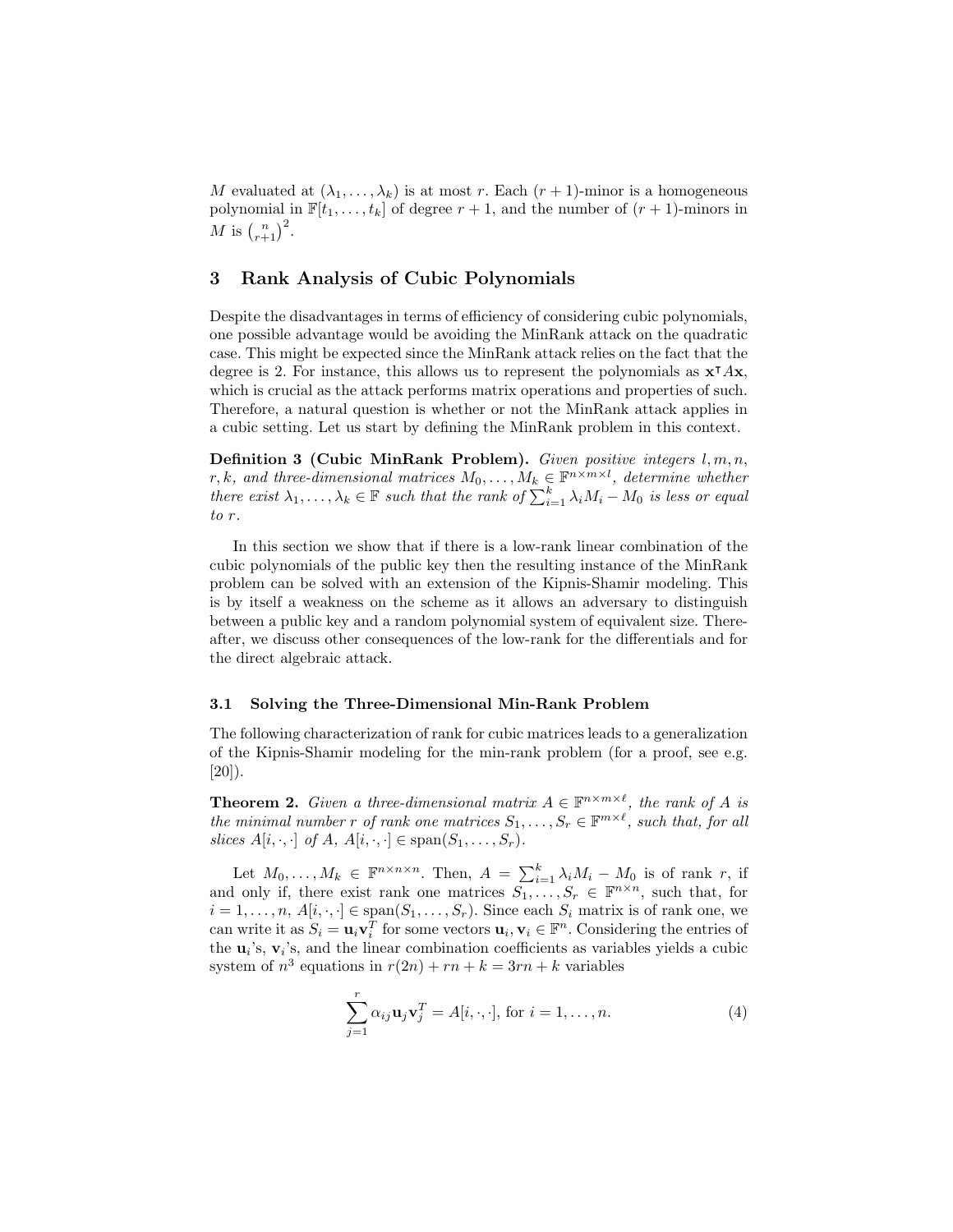M evaluated at  $(\lambda_1, \ldots, \lambda_k)$  is at most r. Each  $(r + 1)$ -minor is a homogeneous polynomial in  $\mathbb{F}[t_1,\ldots,t_k]$  of degree  $r+1$ , and the number of  $(r+1)$ -minors in M is  $\binom{n}{r+1}^2$ .

# 3 Rank Analysis of Cubic Polynomials

Despite the disadvantages in terms of efficiency of considering cubic polynomials, one possible advantage would be avoiding the MinRank attack on the quadratic case. This might be expected since the MinRank attack relies on the fact that the degree is 2. For instance, this allows us to represent the polynomials as  $\mathbf{x}^\intercal A \mathbf{x}$ , which is crucial as the attack performs matrix operations and properties of such. Therefore, a natural question is whether or not the MinRank attack applies in a cubic setting. Let us start by defining the MinRank problem in this context.

**Definition 3 (Cubic MinRank Problem).** Given positive integers  $l, m, n$ , r, k, and three-dimensional matrices  $M_0, \ldots, M_k \in \mathbb{F}^{n \times m \times l}$ , determine whether there exist  $\lambda_1, \ldots, \lambda_k \in \mathbb{F}$  such that the rank of  $\sum_{i=1}^k \lambda_i M_i - M_0$  is less or equal to r.

In this section we show that if there is a low-rank linear combination of the cubic polynomials of the public key then the resulting instance of the MinRank problem can be solved with an extension of the Kipnis-Shamir modeling. This is by itself a weakness on the scheme as it allows an adversary to distinguish between a public key and a random polynomial system of equivalent size. Thereafter, we discuss other consequences of the low-rank for the differentials and for the direct algebraic attack.

#### 3.1 Solving the Three-Dimensional Min-Rank Problem

The following characterization of rank for cubic matrices leads to a generalization of the Kipnis-Shamir modeling for the min-rank problem (for a proof, see e.g.  $[20]$ ).

**Theorem 2.** Given a three-dimensional matrix  $A \in \mathbb{F}^{n \times m \times \ell}$ , the rank of A is the minimal number r of rank one matrices  $S_1, \ldots, S_r \in \mathbb{F}^{m \times \ell}$ , such that, for all slices  $A[i, \cdot, \cdot]$  of  $A$ ,  $A[i, \cdot, \cdot] \in \text{span}(S_1, \ldots, S_r)$ .

Let  $M_0, \ldots, M_k \in \mathbb{F}^{n \times n \times n}$ . Then,  $A = \sum_{i=1}^k \lambda_i M_i - M_0$  is of rank r, if and only if, there exist rank one matrices  $S_1, \ldots, S_r \in \mathbb{F}^{n \times n}$ , such that, for  $i = 1, \ldots, n, A[i, \cdot, \cdot] \in \text{span}(S_1, \ldots, S_r)$ . Since each  $S_i$  matrix is of rank one, we can write it as  $S_i = \mathbf{u}_i \mathbf{v}_i^T$  for some vectors  $\mathbf{u}_i, \mathbf{v}_i \in \mathbb{F}^n$ . Considering the entries of the  $\mathbf{u}_i$ 's,  $\mathbf{v}_i$ 's, and the linear combination coefficients as variables yields a cubic system of  $n^3$  equations in  $r(2n) + rn + k = 3rn + k$  variables

$$
\sum_{j=1}^{r} \alpha_{ij} \mathbf{u}_j \mathbf{v}_j^T = A[i, \cdot, \cdot], \text{ for } i = 1, \dots, n.
$$
 (4)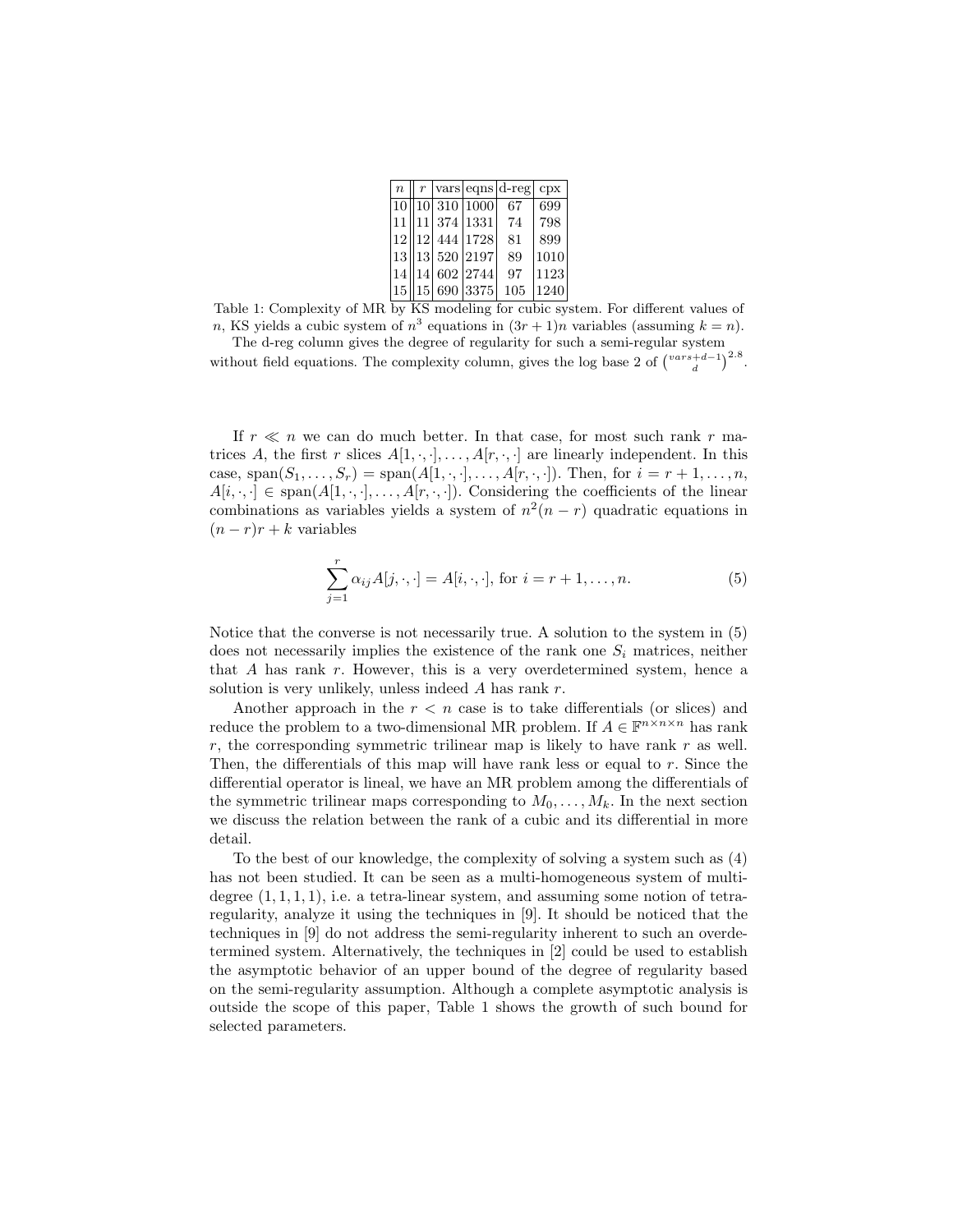| $\boldsymbol{n}$ |  |                      | r   vars   eqns   d-reg   cpx |      |
|------------------|--|----------------------|-------------------------------|------|
|                  |  | 10  10 310 1000      | 67                            | 699  |
|                  |  | $11$   11  374  1331 | 74                            | 798  |
|                  |  | 12 12 444 1728       | 81                            | 899  |
|                  |  | 13   13   520   2197 | 89                            | 1010 |
|                  |  | 14   14   602   2744 | 97                            | 1123 |
|                  |  | 15   15   690   3375 | 105                           | 1240 |

Table 1: Complexity of MR by KS modeling for cubic system. For different values of n, KS yields a cubic system of  $n^3$  equations in  $(3r + 1)n$  variables (assuming  $k = n$ ).

The d-reg column gives the degree of regularity for such a semi-regular system without field equations. The complexity column, gives the log base 2 of  $\left(\frac{vars+d-1}{d}\right)^{2.8}$ .

If  $r \ll n$  we can do much better. In that case, for most such rank r matrices A, the first r slices  $A[1, \cdot, \cdot], \ldots, A[r, \cdot, \cdot]$  are linearly independent. In this case, span $(S_1, ..., S_r) = \text{span}(A[1, ..., k_r], ..., A[r, ..., k]$ . Then, for  $i = r + 1, ..., n$ ,  $A[i, \cdot, \cdot] \in \text{span}(A[1, \cdot, \cdot], \ldots, A[r, \cdot, \cdot])$ . Considering the coefficients of the linear combinations as variables yields a system of  $n^2(n - r)$  quadratic equations in  $(n - r)r + k$  variables

$$
\sum_{j=1}^{r} \alpha_{ij} A[j, \cdot, \cdot] = A[i, \cdot, \cdot], \text{ for } i = r+1, \dots, n.
$$
 (5)

Notice that the converse is not necessarily true. A solution to the system in (5) does not necessarily implies the existence of the rank one  $S_i$  matrices, neither that A has rank r. However, this is a very overdetermined system, hence a solution is very unlikely, unless indeed  $A$  has rank  $r$ .

Another approach in the  $r < n$  case is to take differentials (or slices) and reduce the problem to a two-dimensional MR problem. If  $A \in \mathbb{F}^{n \times n \times n}$  has rank  $r$ , the corresponding symmetric trilinear map is likely to have rank  $r$  as well. Then, the differentials of this map will have rank less or equal to  $r$ . Since the differential operator is lineal, we have an MR problem among the differentials of the symmetric trilinear maps corresponding to  $M_0, \ldots, M_k$ . In the next section we discuss the relation between the rank of a cubic and its differential in more detail.

To the best of our knowledge, the complexity of solving a system such as (4) has not been studied. It can be seen as a multi-homogeneous system of multidegree  $(1, 1, 1, 1)$ , i.e. a tetra-linear system, and assuming some notion of tetraregularity, analyze it using the techniques in [9]. It should be noticed that the techniques in [9] do not address the semi-regularity inherent to such an overdetermined system. Alternatively, the techniques in [2] could be used to establish the asymptotic behavior of an upper bound of the degree of regularity based on the semi-regularity assumption. Although a complete asymptotic analysis is outside the scope of this paper, Table 1 shows the growth of such bound for selected parameters.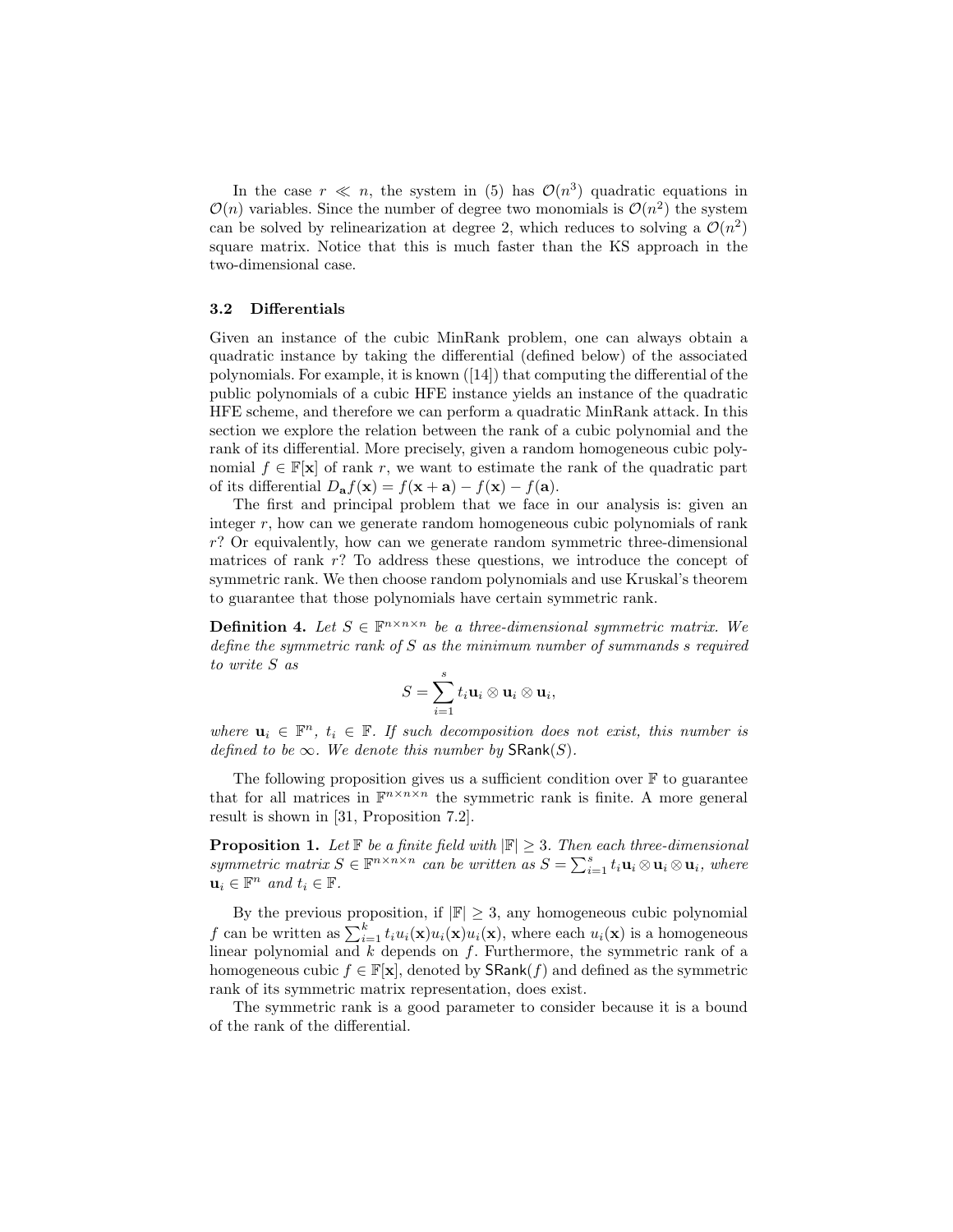In the case  $r \ll n$ , the system in (5) has  $\mathcal{O}(n^3)$  quadratic equations in  $\mathcal{O}(n)$  variables. Since the number of degree two monomials is  $\mathcal{O}(n^2)$  the system can be solved by relinearization at degree 2, which reduces to solving a  $\mathcal{O}(n^2)$ square matrix. Notice that this is much faster than the KS approach in the two-dimensional case.

## 3.2 Differentials

Given an instance of the cubic MinRank problem, one can always obtain a quadratic instance by taking the differential (defined below) of the associated polynomials. For example, it is known ([14]) that computing the differential of the public polynomials of a cubic HFE instance yields an instance of the quadratic HFE scheme, and therefore we can perform a quadratic MinRank attack. In this section we explore the relation between the rank of a cubic polynomial and the rank of its differential. More precisely, given a random homogeneous cubic polynomial  $f \in \mathbb{F}[\mathbf{x}]$  of rank r, we want to estimate the rank of the quadratic part of its differential  $D_{\mathbf{a}}f(\mathbf{x}) = f(\mathbf{x} + \mathbf{a}) - f(\mathbf{x}) - f(\mathbf{a}).$ 

The first and principal problem that we face in our analysis is: given an integer r, how can we generate random homogeneous cubic polynomials of rank r? Or equivalently, how can we generate random symmetric three-dimensional matrices of rank r? To address these questions, we introduce the concept of symmetric rank. We then choose random polynomials and use Kruskal's theorem to guarantee that those polynomials have certain symmetric rank.

**Definition 4.** Let  $S \in \mathbb{F}^{n \times n \times n}$  be a three-dimensional symmetric matrix. We define the symmetric rank of S as the minimum number of summands s required to write S as

$$
S=\sum_{i=1}^s t_i \mathbf{u}_i\otimes \mathbf{u}_i\otimes \mathbf{u}_i,
$$

where  $u_i \in \mathbb{F}^n$ ,  $t_i \in \mathbb{F}$ . If such decomposition does not exist, this number is defined to be  $\infty$ . We denote this number by SRank(S).

The following proposition gives us a sufficient condition over  $\mathbb F$  to guarantee that for all matrices in  $\mathbb{F}^{n \times n \times n}$  the symmetric rank is finite. A more general result is shown in [31, Proposition 7.2].

**Proposition 1.** Let  $\mathbb{F}$  be a finite field with  $|\mathbb{F}| \geq 3$ . Then each three-dimensional symmetric matrix  $S \in \mathbb{F}^{n \times n \times n}$  can be written as  $S = \sum_{i=1}^{s} t_i \mathbf{u}_i \otimes \mathbf{u}_i \otimes \mathbf{u}_i$ , where  $\mathbf{u}_i \in \mathbb{F}^n$  and  $t_i \in \mathbb{F}$ .

By the previous proposition, if  $|\mathbb{F}| \geq 3$ , any homogeneous cubic polynomial f can be written as  $\sum_{i=1}^{k} t_i u_i(\mathbf{x})u_i(\mathbf{x})u_i(\mathbf{x})$ , where each  $u_i(\mathbf{x})$  is a homogeneous linear polynomial and  $k$  depends on  $f$ . Furthermore, the symmetric rank of a homogeneous cubic  $f \in \mathbb{F}[\mathbf{x}]$ , denoted by  $\mathsf{SRank}(f)$  and defined as the symmetric rank of its symmetric matrix representation, does exist.

The symmetric rank is a good parameter to consider because it is a bound of the rank of the differential.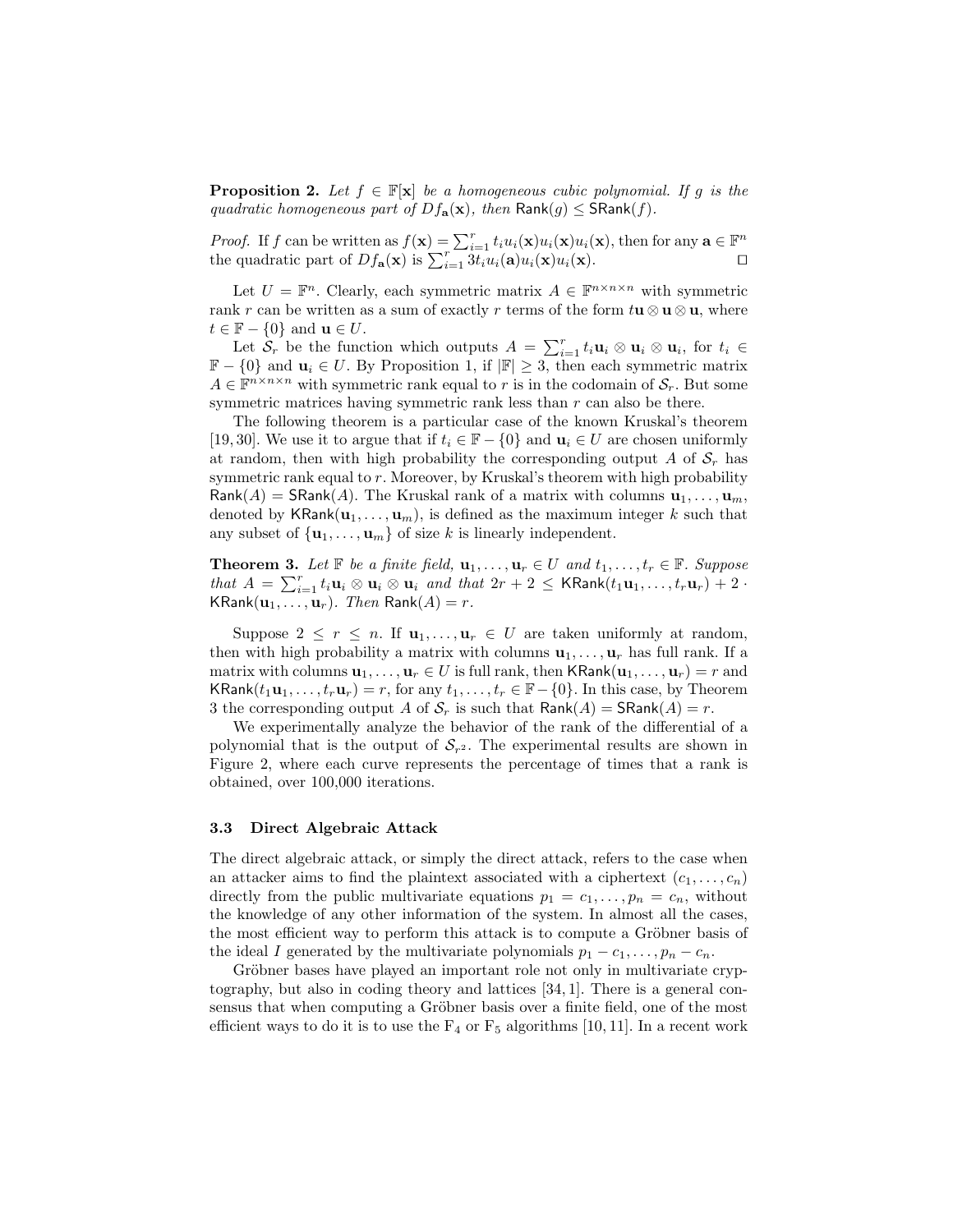**Proposition 2.** Let  $f \in \mathbb{F}[\mathbf{x}]$  be a homogeneous cubic polynomial. If g is the quadratic homogeneous part of  $Df_{\mathbf{a}}(\mathbf{x})$ , then  $\textsf{Rank}(g) \le \textsf{SRank}(f)$ .

*Proof.* If f can be written as  $f(\mathbf{x}) = \sum_{i=1}^r t_i u_i(\mathbf{x}) u_i(\mathbf{x}) u_i(\mathbf{x})$ , then for any  $\mathbf{a} \in \mathbb{F}^n$ the quadratic part of  $Df_{\mathbf{a}}(\mathbf{x})$  is  $\sum_{i=1}^{r} 3t_i u_i(\mathbf{a})u_i(\mathbf{x})u_i(\mathbf{x})$ .

Let  $U = \mathbb{F}^n$ . Clearly, each symmetric matrix  $A \in \mathbb{F}^{n \times n \times n}$  with symmetric rank r can be written as a sum of exactly r terms of the form  $t\mathbf{u} \otimes \mathbf{u} \otimes \mathbf{u}$ , where  $t \in \mathbb{F} - \{0\}$  and  $\mathbf{u} \in U$ .

Let  $S_r$  be the function which outputs  $A = \sum_{i=1}^r t_i \mathbf{u}_i \otimes \mathbf{u}_i \otimes \mathbf{u}_i$ , for  $t_i \in$  $\mathbb{F} - \{0\}$  and  $\mathbf{u}_i \in U$ . By Proposition 1, if  $|\mathbb{F}| \geq 3$ , then each symmetric matrix  $A \in \mathbb{F}^{n \times n \times n}$  with symmetric rank equal to r is in the codomain of  $\mathcal{S}_r$ . But some symmetric matrices having symmetric rank less than  $r$  can also be there.

The following theorem is a particular case of the known Kruskal's theorem [19, 30]. We use it to argue that if  $t_i \in \mathbb{F} - \{0\}$  and  $\mathbf{u}_i \in U$  are chosen uniformly at random, then with high probability the corresponding output A of  $S_r$  has symmetric rank equal to  $r$ . Moreover, by Kruskal's theorem with high probability Rank(A) = SRank(A). The Kruskal rank of a matrix with columns  $\mathbf{u}_1, \ldots, \mathbf{u}_m$ , denoted by  $\textsf{KRank}(\mathbf{u}_1, \ldots, \mathbf{u}_m)$ , is defined as the maximum integer k such that any subset of  $\{u_1, \ldots, u_m\}$  of size k is linearly independent.

**Theorem 3.** Let  $\mathbb{F}$  be a finite field,  $\mathbf{u}_1, \ldots, \mathbf{u}_r \in U$  and  $t_1, \ldots, t_r \in \mathbb{F}$ . Suppose that  $A = \sum_{i=1}^r t_i \mathbf{u}_i \otimes \mathbf{u}_i \otimes \mathbf{u}_i$  and that  $2r + 2 \leq \mathsf{KRank}(t_1\mathbf{u}_1,\ldots,t_r\mathbf{u}_r) + 2$ .  $\textsf{KRank}(\mathbf{u}_1,\ldots,\mathbf{u}_r)$ . Then  $\textsf{Rank}(A)=r$ .

Suppose  $2 \leq r \leq n$ . If  $\mathbf{u}_1, \ldots, \mathbf{u}_r \in U$  are taken uniformly at random, then with high probability a matrix with columns  $\mathbf{u}_1, \ldots, \mathbf{u}_r$  has full rank. If a matrix with columns  $\mathbf{u}_1, \ldots, \mathbf{u}_r \in U$  is full rank, then  $\mathsf{KRank}(\mathbf{u}_1, \ldots, \mathbf{u}_r) = r$  and KRank $(t_1\mathbf{u}_1, \ldots, t_r\mathbf{u}_r) = r$ , for any  $t_1, \ldots, t_r \in \mathbb{F} - \{0\}$ . In this case, by Theorem 3 the corresponding output A of  $S_r$  is such that  $\textsf{Rank}(A) = \textsf{SRank}(A) = r$ .

We experimentally analyze the behavior of the rank of the differential of a polynomial that is the output of  $S_{r^2}$ . The experimental results are shown in Figure 2, where each curve represents the percentage of times that a rank is obtained, over 100,000 iterations.

## 3.3 Direct Algebraic Attack

The direct algebraic attack, or simply the direct attack, refers to the case when an attacker aims to find the plaintext associated with a ciphertext  $(c_1, \ldots, c_n)$ directly from the public multivariate equations  $p_1 = c_1, \ldots, p_n = c_n$ , without the knowledge of any other information of the system. In almost all the cases, the most efficient way to perform this attack is to compute a Gröbner basis of the ideal I generated by the multivariate polynomials  $p_1 - c_1, \ldots, p_n - c_n$ .

Gröbner bases have played an important role not only in multivariate cryptography, but also in coding theory and lattices [34, 1]. There is a general consensus that when computing a Gröbner basis over a finite field, one of the most efficient ways to do it is to use the  $F_4$  or  $F_5$  algorithms [10, 11]. In a recent work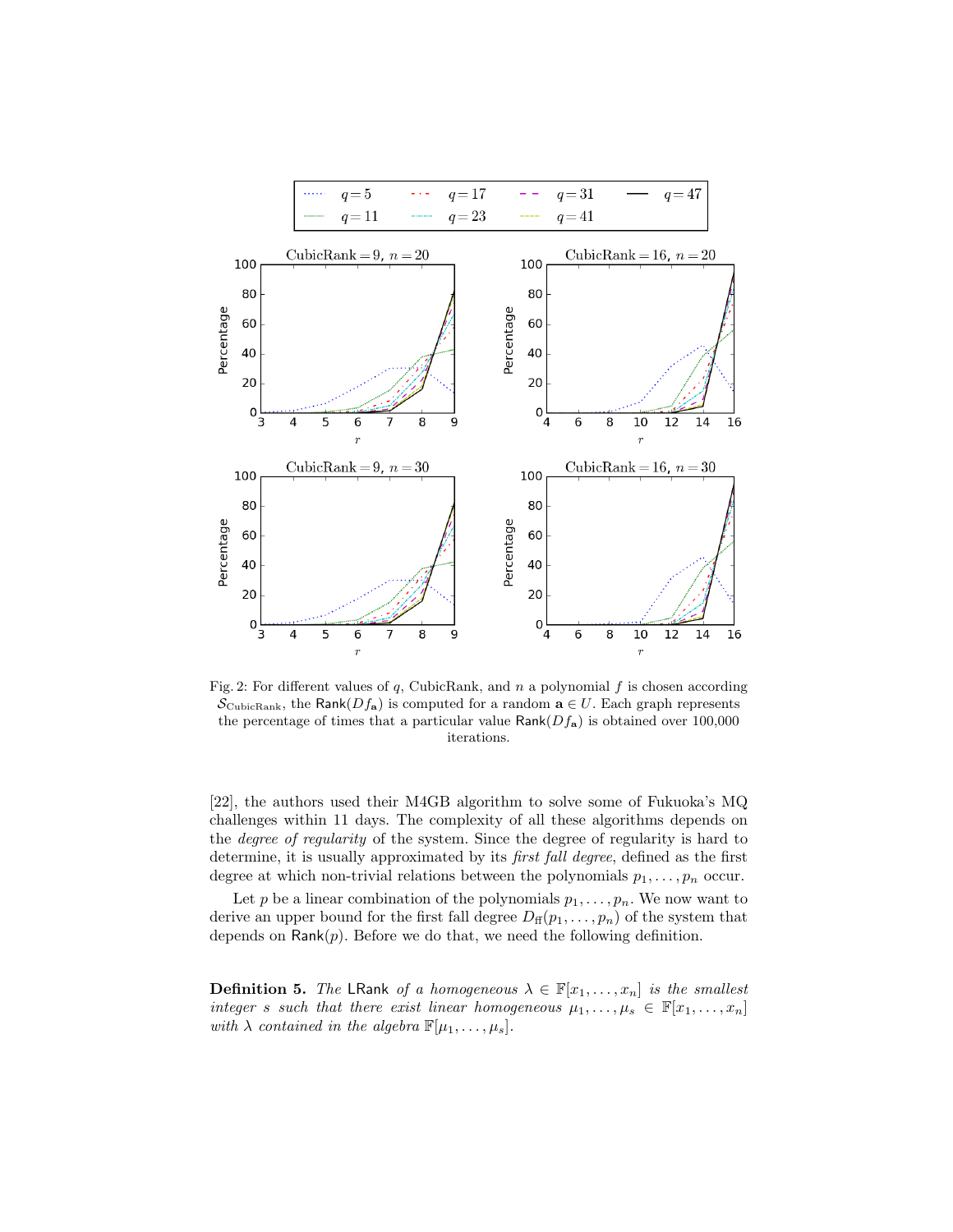

Fig. 2: For different values of  $q$ , CubicRank, and  $n$  a polynomial  $f$  is chosen according  $\mathcal{S}_{\text{CubicRank}}$ , the Rank $(Df_a)$  is computed for a random  $a \in U$ . Each graph represents the percentage of times that a particular value  $\text{Rank}(Df_{\mathbf{a}})$  is obtained over 100,000 iterations.

[22], the authors used their M4GB algorithm to solve some of Fukuoka's MQ challenges within 11 days. The complexity of all these algorithms depends on the degree of regularity of the system. Since the degree of regularity is hard to determine, it is usually approximated by its first fall degree, defined as the first degree at which non-trivial relations between the polynomials  $p_1, \ldots, p_n$  occur.

Let p be a linear combination of the polynomials  $p_1, \ldots, p_n$ . We now want to derive an upper bound for the first fall degree  $D_{\text{ff}}(p_1, \ldots, p_n)$  of the system that depends on  $Rank(p)$ . Before we do that, we need the following definition.

**Definition 5.** The LRank of a homogeneous  $\lambda \in \mathbb{F}[x_1, \ldots, x_n]$  is the smallest integer s such that there exist linear homogeneous  $\mu_1, \ldots, \mu_s \in \mathbb{F}[x_1, \ldots, x_n]$ with  $\lambda$  contained in the algebra  $\mathbb{F}[\mu_1, \ldots, \mu_s]$ .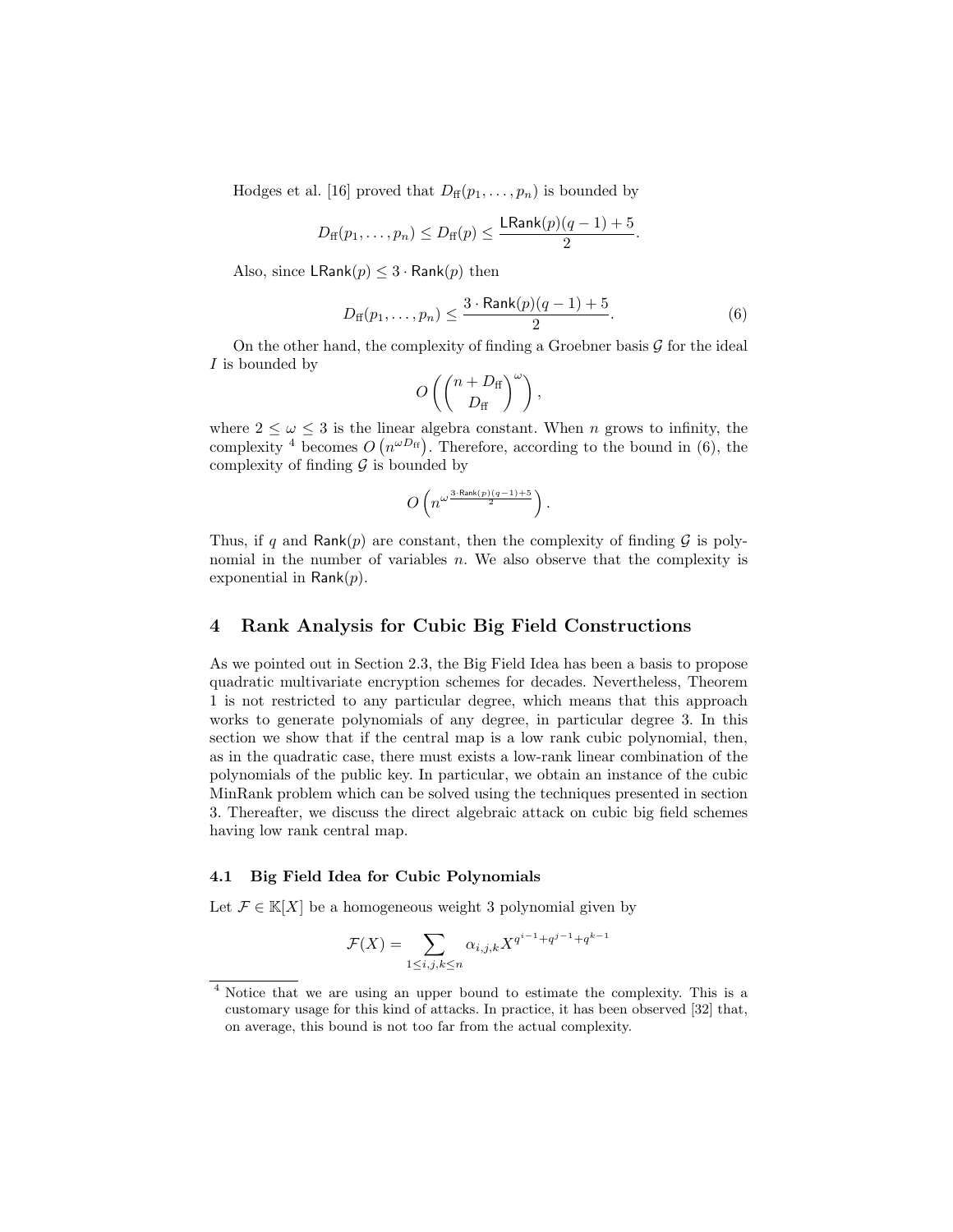Hodges et al. [16] proved that  $D_{\text{ff}}(p_1, \ldots, p_n)$  is bounded by

$$
D_{\mathrm{ff}}(p_1,\ldots,p_n)\leq D_{\mathrm{ff}}(p)\leq \frac{\mathsf{LRank}(p)(q-1)+5}{2}.
$$

Also, since  $\mathsf{LRank}(p) \leq 3 \cdot \mathsf{Rank}(p)$  then

$$
D_{\mathrm{ff}}(p_1,\ldots,p_n) \le \frac{3 \cdot \mathrm{Rank}(p)(q-1)+5}{2}.\tag{6}
$$

On the other hand, the complexity of finding a Groebner basis  $\mathcal G$  for the ideal I is bounded by

$$
O\left(\binom{n+D_{\text{ff}}}{D_{\text{ff}}}\right)^{\omega}\right),
$$

where  $2 \leq \omega \leq 3$  is the linear algebra constant. When n grows to infinity, the complexity <sup>4</sup> becomes  $O(n^{\omega D_{\text{ff}}})$ . Therefore, according to the bound in (6), the complexity of finding  $\mathcal G$  is bounded by

$$
O\left(n^{\omega\frac{3\cdot\mathrm{Rank}(p)(q-1)+5}{2}}\right).
$$

Thus, if q and Rank(p) are constant, then the complexity of finding  $\mathcal G$  is polynomial in the number of variables  $n$ . We also observe that the complexity is exponential in  $Rank(p)$ .

# 4 Rank Analysis for Cubic Big Field Constructions

As we pointed out in Section 2.3, the Big Field Idea has been a basis to propose quadratic multivariate encryption schemes for decades. Nevertheless, Theorem 1 is not restricted to any particular degree, which means that this approach works to generate polynomials of any degree, in particular degree 3. In this section we show that if the central map is a low rank cubic polynomial, then, as in the quadratic case, there must exists a low-rank linear combination of the polynomials of the public key. In particular, we obtain an instance of the cubic MinRank problem which can be solved using the techniques presented in section 3. Thereafter, we discuss the direct algebraic attack on cubic big field schemes having low rank central map.

#### 4.1 Big Field Idea for Cubic Polynomials

Let  $\mathcal{F} \in \mathbb{K}[X]$  be a homogeneous weight 3 polynomial given by

$$
\mathcal{F}(X) = \sum_{1 \le i,j,k \le n} \alpha_{i,j,k} X^{q^{i-1} + q^{j-1} + q^{k-1}}
$$

<sup>4</sup> Notice that we are using an upper bound to estimate the complexity. This is a customary usage for this kind of attacks. In practice, it has been observed [32] that, on average, this bound is not too far from the actual complexity.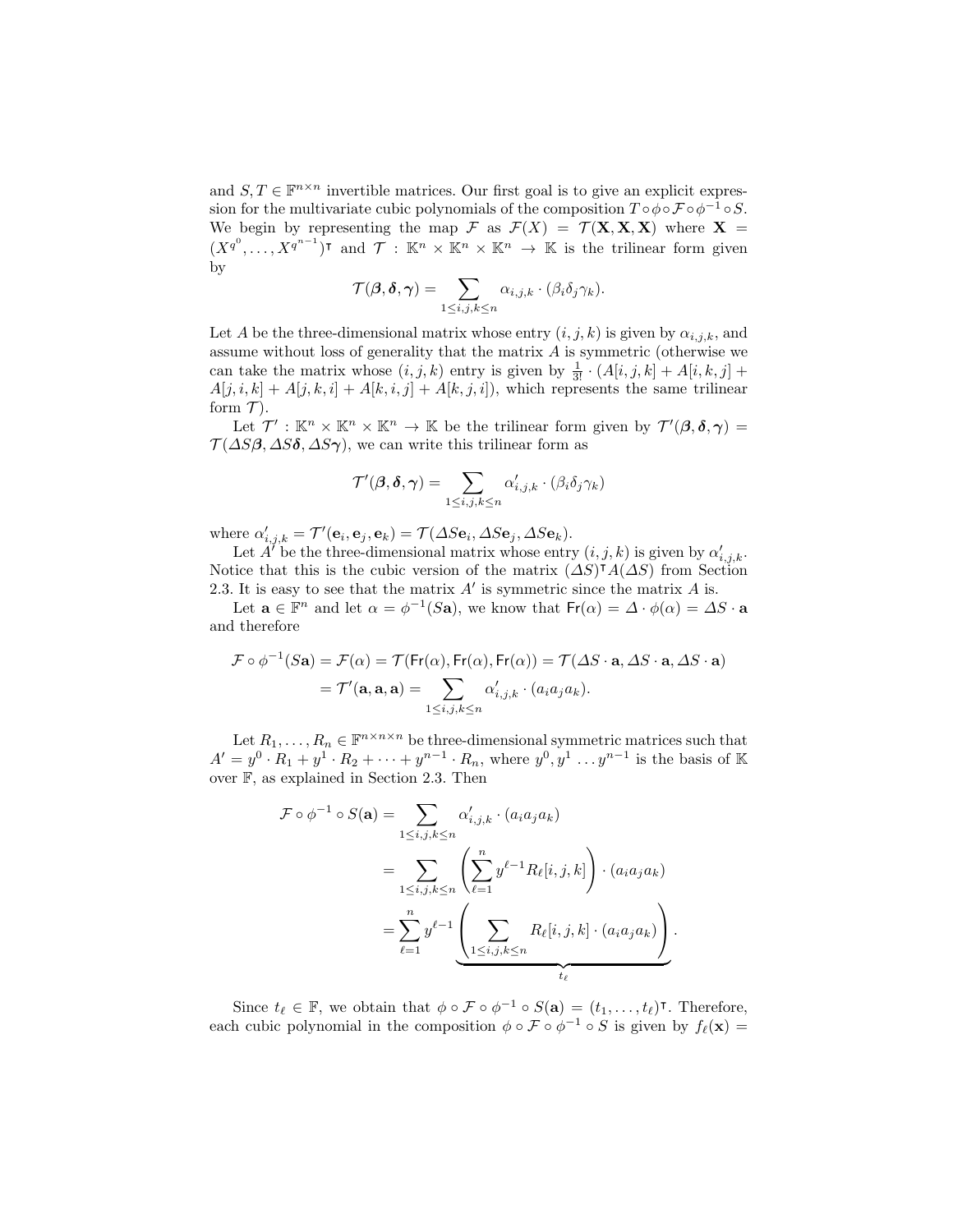and  $S, T \in \mathbb{F}^{n \times n}$  invertible matrices. Our first goal is to give an explicit expression for the multivariate cubic polynomials of the composition  $T \circ \phi \circ \mathcal{F} \circ \phi^{-1} \circ S$ . We begin by representing the map  $\mathcal{F}$  as  $\mathcal{F}(X) = \mathcal{T}(\mathbf{X}, \mathbf{X}, \mathbf{X})$  where  $\mathbf{X} =$  $(X^{q^0}, \ldots, X^{q^{n-1}})$ <sup>T</sup> and  $\mathcal{T}: \mathbb{K}^n \times \mathbb{K}^n \times \mathbb{K}^n \to \mathbb{K}$  is the trilinear form given by

$$
\mathcal{T}(\boldsymbol{\beta},\boldsymbol{\delta},\boldsymbol{\gamma})=\sum_{1\leq i,j,k\leq n}\alpha_{i,j,k}\cdot(\beta_i\delta_j\gamma_k).
$$

Let A be the three-dimensional matrix whose entry  $(i, j, k)$  is given by  $\alpha_{i,j,k}$ , and assume without loss of generality that the matrix A is symmetric (otherwise we can take the matrix whose  $(i, j, k)$  entry is given by  $\frac{1}{3!} \cdot (A[i, j, k] + A[i, k, j] +$  $A[j, i, k] + A[j, k, i] + A[k, i, j] + A[k, j, i]$ , which represents the same trilinear form  $\mathcal{T}$ ).

Let  $\mathcal{T}' : \mathbb{K}^n \times \mathbb{K}^n \times \mathbb{K}^n \to \mathbb{K}$  be the trilinear form given by  $\mathcal{T}'(\beta,\delta,\gamma) =$  $T(\Delta S\beta, \Delta S\delta, \Delta S\gamma)$ , we can write this trilinear form as

$$
\mathcal{T}'(\boldsymbol{\beta},\boldsymbol{\delta},\boldsymbol{\gamma})=\sum_{1\leq i,j,k\leq n}\alpha'_{i,j,k}\cdot(\beta_i\delta_j\gamma_k)
$$

where  $\alpha'_{i,j,k} = \mathcal{T}'(\mathbf{e}_i, \mathbf{e}_j, \mathbf{e}_k) = \mathcal{T}(\Delta S \mathbf{e}_i, \Delta S \mathbf{e}_j, \Delta S \mathbf{e}_k).$ 

Let  $A^{'}$  be the three-dimensional matrix whose entry  $(i, j, k)$  is given by  $\alpha'_{i, j, k}$ . Notice that this is the cubic version of the matrix  $(\Delta S)^{\dagger}A(\Delta S)$  from Section 2.3. It is easy to see that the matrix  $A'$  is symmetric since the matrix  $A$  is.

Let  $\mathbf{a} \in \mathbb{F}^n$  and let  $\alpha = \phi^{-1}(S\mathbf{a})$ , we know that  $\mathsf{Fr}(\alpha) = \Delta \cdot \phi(\alpha) = \Delta S \cdot \mathbf{a}$ and therefore

$$
\mathcal{F} \circ \phi^{-1}(S\mathbf{a}) = \mathcal{F}(\alpha) = \mathcal{T}(\mathsf{Fr}(\alpha), \mathsf{Fr}(\alpha), \mathsf{Fr}(\alpha)) = \mathcal{T}(\Delta S \cdot \mathbf{a}, \Delta S \cdot \mathbf{a}, \Delta S \cdot \mathbf{a})
$$

$$
= \mathcal{T}'(\mathbf{a}, \mathbf{a}, \mathbf{a}) = \sum_{1 \le i, j, k \le n} \alpha'_{i, j, k} \cdot (a_i a_j a_k).
$$

Let  $R_1, \ldots, R_n \in \mathbb{F}^{n \times n \times n}$  be three-dimensional symmetric matrices such that  $A' = y^0 \cdot R_1 + y^1 \cdot R_2 + \cdots + y^{n-1} \cdot R_n$ , where  $y^0, y^1, \ldots, y^{n-1}$  is the basis of K over F, as explained in Section 2.3. Then

$$
\mathcal{F} \circ \phi^{-1} \circ S(\mathbf{a}) = \sum_{1 \leq i,j,k \leq n} \alpha'_{i,j,k} \cdot (a_i a_j a_k)
$$
  
= 
$$
\sum_{1 \leq i,j,k \leq n} \left( \sum_{\ell=1}^n y^{\ell-1} R_{\ell}[i,j,k] \right) \cdot (a_i a_j a_k)
$$
  
= 
$$
\sum_{\ell=1}^n y^{\ell-1} \underbrace{\left( \sum_{1 \leq i,j,k \leq n} R_{\ell}[i,j,k] \cdot (a_i a_j a_k) \right)}_{t_{\ell}}.
$$

Since  $t_\ell \in \mathbb{F}$ , we obtain that  $\phi \circ \mathcal{F} \circ \phi^{-1} \circ S(\mathbf{a}) = (t_1, \ldots, t_\ell)^\intercal$ . Therefore, each cubic polynomial in the composition  $\phi \circ \mathcal{F} \circ \phi^{-1} \circ S$  is given by  $f_{\ell}(\mathbf{x}) =$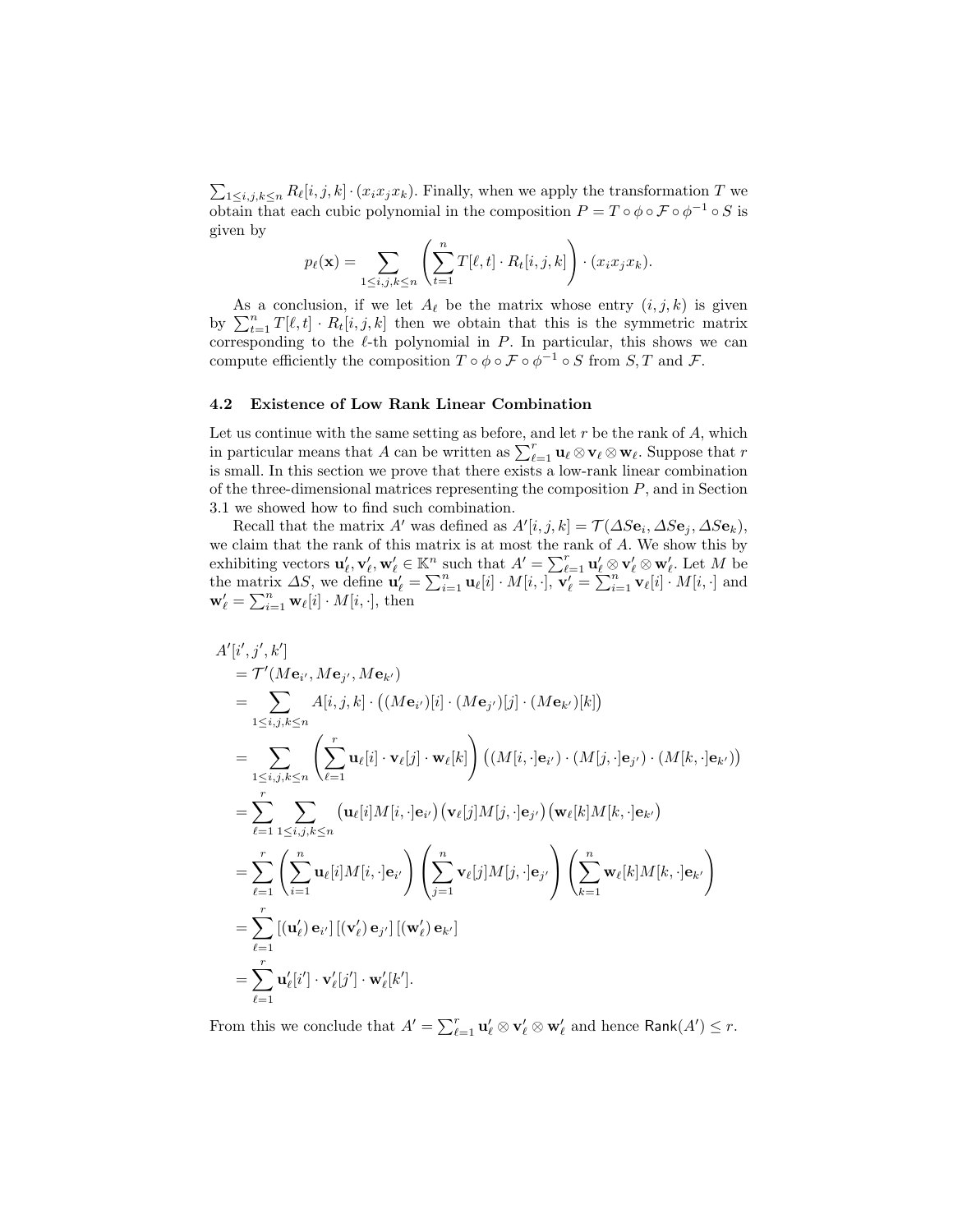$\sum_{1 \leq i,j,k \leq n} R_{\ell}[i,j,k] \cdot (x_i x_j x_k)$ . Finally, when we apply the transformation T we obtain that each cubic polynomial in the composition  $P = T \circ \phi \circ \mathcal{F} \circ \phi^{-1} \circ S$  is given by

$$
p_{\ell}(\mathbf{x}) = \sum_{1 \leq i,j,k \leq n} \left( \sum_{t=1}^{n} T[\ell,t] \cdot R_t[i,j,k] \right) \cdot (x_i x_j x_k).
$$

As a conclusion, if we let  $A_\ell$  be the matrix whose entry  $(i, j, k)$  is given by  $\sum_{t=1}^{n} T[\ell, t] \cdot R_t[i, j, k]$  then we obtain that this is the symmetric matrix corresponding to the  $\ell$ -th polynomial in P. In particular, this shows we can compute efficiently the composition  $T \circ \phi \circ \mathcal{F} \circ \phi^{-1} \circ S$  from  $S, T$  and  $\mathcal{F}$ .

## 4.2 Existence of Low Rank Linear Combination

Let us continue with the same setting as before, and let  $r$  be the rank of  $A$ , which in particular means that A can be written as  $\sum_{\ell=1}^r \mathbf{u}_{\ell} \otimes \mathbf{v}_{\ell} \otimes \mathbf{w}_{\ell}$ . Suppose that r is small. In this section we prove that there exists a low-rank linear combination of the three-dimensional matrices representing the composition  $P$ , and in Section 3.1 we showed how to find such combination.

Recall that the matrix A' was defined as  $A'[i, j, k] = \mathcal{T}(\Delta S \mathbf{e}_i, \Delta S \mathbf{e}_j, \Delta S \mathbf{e}_k)$ , we claim that the rank of this matrix is at most the rank of A. We show this by exhibiting vectors  $\mathbf{u}'_{\ell}, \mathbf{v}'_{\ell}, \mathbf{w}'_{\ell} \in \mathbb{K}^n$  such that  $A' = \sum_{\ell=1}^r \mathbf{u}'_{\ell} \otimes \mathbf{v}'_{\ell} \otimes \mathbf{w}'_{\ell}$ . Let M be the matrix  $\Delta S$ , we define  $\mathbf{u}'_{\ell} = \sum_{i=1}^n \mathbf{u}_{\ell}[i] \cdot M[i, \cdot], \mathbf{v}'_{\ell} = \sum_{i=1}^n \mathbf{v}_{\ell}[i] \cdot M[i, \cdot]$  and  $\mathbf{w}'_{\ell} = \sum_{i=1}^{n} \mathbf{w}_{\ell}[i] \cdot M[i, \cdot], \text{ then}$ 

$$
A'[i', j', k']
$$
  
\n
$$
= \mathcal{T}'(M\mathbf{e}_{i'}, M\mathbf{e}_{j'}, M\mathbf{e}_{k'})
$$
  
\n
$$
= \sum_{1 \leq i, j, k \leq n} A[i, j, k] \cdot ((M\mathbf{e}_{i'})[i] \cdot (M\mathbf{e}_{j'})[j] \cdot (M\mathbf{e}_{k'})[k])
$$
  
\n
$$
= \sum_{1 \leq i, j, k \leq n} \left( \sum_{\ell=1}^r \mathbf{u}_{\ell}[i] \cdot \mathbf{v}_{\ell}[j] \cdot \mathbf{w}_{\ell}[k] \right) ((M[i, \cdot] \mathbf{e}_{i'}) \cdot (M[j, \cdot] \mathbf{e}_{j'}) \cdot (M[k, \cdot] \mathbf{e}_{k'}))
$$
  
\n
$$
= \sum_{\ell=1}^r \sum_{1 \leq i, j, k \leq n} (\mathbf{u}_{\ell}[i] M[i, \cdot] \mathbf{e}_{i'}) (\mathbf{v}_{\ell}[j] M[j, \cdot] \mathbf{e}_{j'}) (\mathbf{w}_{\ell}[k] M[k, \cdot] \mathbf{e}_{k'})
$$
  
\n
$$
= \sum_{\ell=1}^r \left( \sum_{i=1}^n \mathbf{u}_{\ell}[i] M[i, \cdot] \mathbf{e}_{i'} \right) \left( \sum_{j=1}^n \mathbf{v}_{\ell}[j] M[j, \cdot] \mathbf{e}_{j'} \right) \left( \sum_{k=1}^n \mathbf{w}_{\ell}[k] M[k, \cdot] \mathbf{e}_{k'} \right)
$$
  
\n
$$
= \sum_{\ell=1}^r [(\mathbf{u}'_{\ell}) \mathbf{e}_{i'}] [(\mathbf{v}'_{\ell}) \mathbf{e}_{j'}] [(\mathbf{w}'_{\ell}) \mathbf{e}_{k'}]
$$
  
\n
$$
= \sum_{\ell=1}^r \mathbf{u}'_{\ell}[i'] \cdot \mathbf{v}'_{\ell}[j'] \cdot \mathbf{w}'_{\ell}[k'].
$$

From this we conclude that  $A' = \sum_{\ell=1}^r \mathbf{u}'_\ell \otimes \mathbf{v}'_\ell \otimes \mathbf{w}'_\ell$  and hence  $\textsf{Rank}(A') \leq r$ .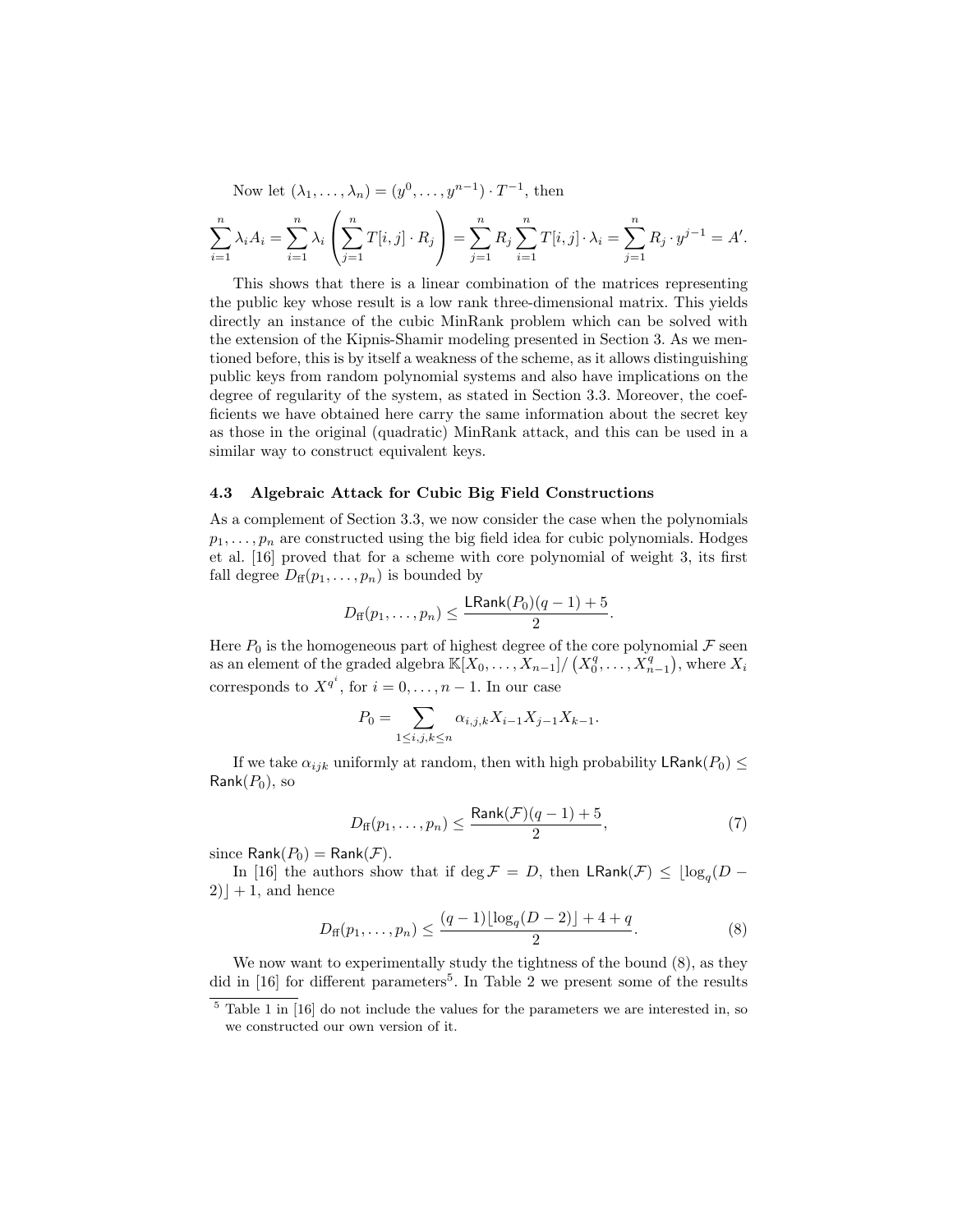Now let  $(\lambda_1, ..., \lambda_n) = (y^0, ..., y^{n-1}) \cdot T^{-1}$ , then

$$
\sum_{i=1}^{n} \lambda_i A_i = \sum_{i=1}^{n} \lambda_i \left( \sum_{j=1}^{n} T[i, j] \cdot R_j \right) = \sum_{j=1}^{n} R_j \sum_{i=1}^{n} T[i, j] \cdot \lambda_i = \sum_{j=1}^{n} R_j \cdot y^{j-1} = A'.
$$

This shows that there is a linear combination of the matrices representing the public key whose result is a low rank three-dimensional matrix. This yields directly an instance of the cubic MinRank problem which can be solved with the extension of the Kipnis-Shamir modeling presented in Section 3. As we mentioned before, this is by itself a weakness of the scheme, as it allows distinguishing public keys from random polynomial systems and also have implications on the degree of regularity of the system, as stated in Section 3.3. Moreover, the coefficients we have obtained here carry the same information about the secret key as those in the original (quadratic) MinRank attack, and this can be used in a similar way to construct equivalent keys.

## 4.3 Algebraic Attack for Cubic Big Field Constructions

As a complement of Section 3.3, we now consider the case when the polynomials  $p_1, \ldots, p_n$  are constructed using the big field idea for cubic polynomials. Hodges et al. [16] proved that for a scheme with core polynomial of weight 3, its first fall degree  $D_{\rm ff}(p_1,\ldots,p_n)$  is bounded by

$$
D_{\mathrm{ff}}(p_1,\ldots,p_n) \leq \frac{\mathrm{LRank}(P_0)(q-1)+5}{2}.
$$

Here  $P_0$  is the homogeneous part of highest degree of the core polynomial  $\mathcal F$  seen as an element of the graded algebra  $\mathbb{K}[X_0, \ldots, X_{n-1}]/(X_0^q, \ldots, X_{n-1}^q)$ , where  $X_i$ corresponds to  $X^{q^i}$ , for  $i = 0, \ldots, n-1$ . In our case

$$
P_0 = \sum_{1 \le i,j,k \le n} \alpha_{i,j,k} X_{i-1} X_{j-1} X_{k-1}.
$$

If we take  $\alpha_{ijk}$  uniformly at random, then with high probability LRank( $P_0$ )  $\leq$ Rank $(P_0)$ , so

$$
D_{\mathrm{ff}}(p_1,\ldots,p_n) \le \frac{\mathrm{Rank}(\mathcal{F})(q-1)+5}{2},\tag{7}
$$

since Rank $(P_0)$  = Rank $(F)$ .

In [16] the authors show that if  $\deg \mathcal{F} = D$ , then  $\mathsf{LRank}(\mathcal{F}) \leq \lfloor \log_q(D - \frac{1}{2}) \rfloor$  $2$  $| + 1$ , and hence

$$
D_{\mathrm{ff}}(p_1,\ldots,p_n) \le \frac{(q-1)\lfloor \log_q(D-2) \rfloor + 4 + q}{2}.\tag{8}
$$

We now want to experimentally study the tightness of the bound  $(8)$ , as they did in  $[16]$  for different parameters<sup>5</sup>. In Table 2 we present some of the results

<sup>&</sup>lt;sup>5</sup> Table 1 in [16] do not include the values for the parameters we are interested in, so we constructed our own version of it.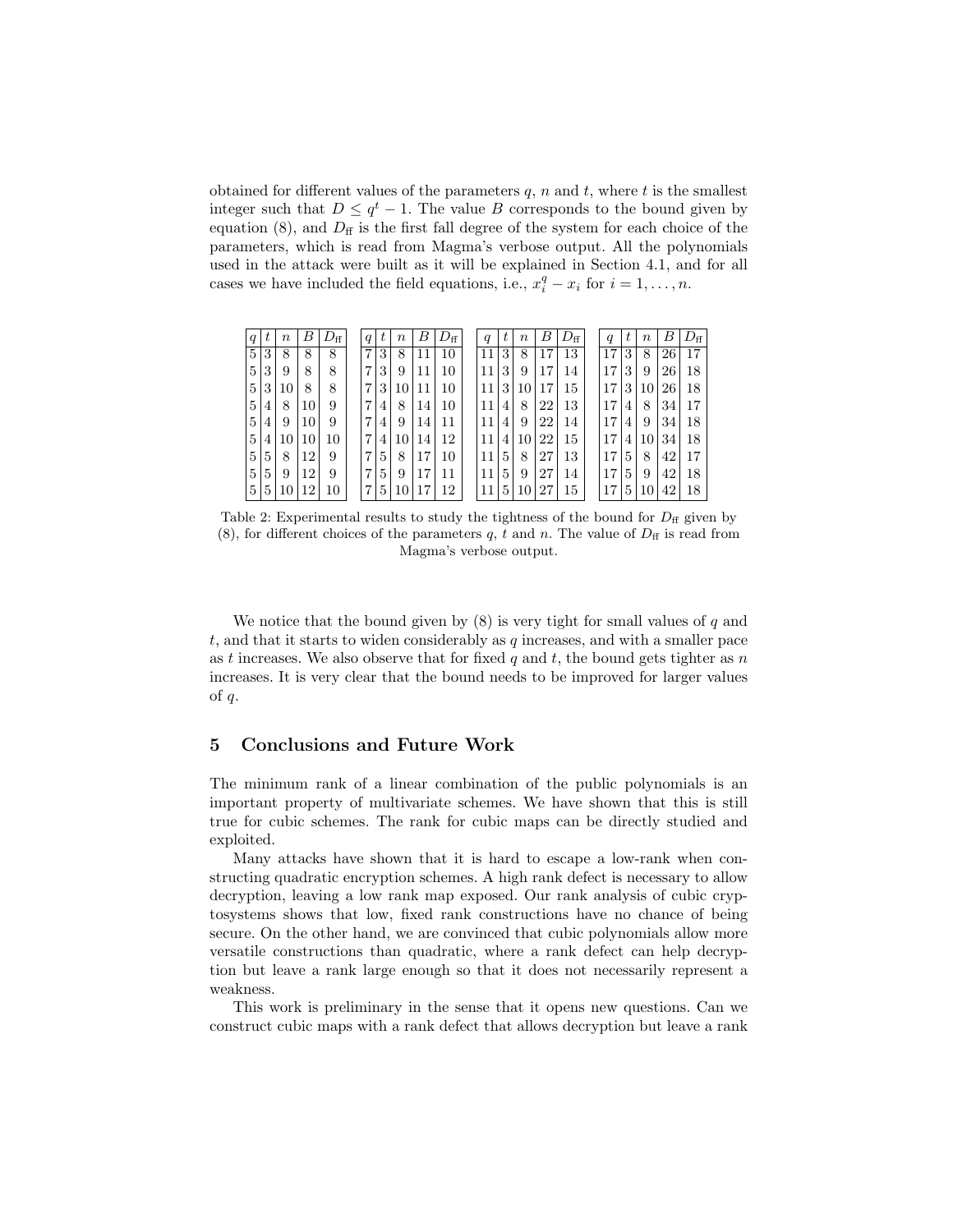obtained for different values of the parameters  $q$ ,  $n$  and  $t$ , where  $t$  is the smallest integer such that  $D \leq q^t - 1$ . The value B corresponds to the bound given by equation (8), and  $D_f$  is the first fall degree of the system for each choice of the parameters, which is read from Magma's verbose output. All the polynomials used in the attack were built as it will be explained in Section 4.1, and for all cases we have included the field equations, i.e.,  $x_i^q - x_i$  for  $i = 1, ..., n$ .

| $\boldsymbol{q}$ | τ | $\, n$ | В  | $D_{\rm ff}$ | q |   | $\, n$ | В  | $D_{\rm ff}$ | q  | t | $\, n$ | В  | $D_{\rm ff}$ |    | τ | $\it n$ | В  | $D_{\rm ff}$ |
|------------------|---|--------|----|--------------|---|---|--------|----|--------------|----|---|--------|----|--------------|----|---|---------|----|--------------|
| 5                | 3 | 8      | 8  | 8            | 7 | 3 | 8      | 11 | 10           | 11 | 3 | 8      | 17 | 13           | 17 | 3 | 8       | 26 | 17           |
| 5                | 3 | 9      | 8  | 8            | 7 | 3 | 9      | 11 | 10           | 11 | 3 | 9      | 17 | 14           | 17 | 3 | 9       | 26 | 18           |
| 5                | 3 | 10     | 8  | 8            | 7 | 3 | 10     | 11 | 10           | 11 | 3 | 10     |    | 15           | 17 | 3 | 10      | 26 | 18           |
| 5                | 4 | 8      | 10 | 9            | 7 | 4 | 8      | 14 | 10           | 11 | 4 | 8      | 22 | 13           | 17 | 4 | 8       | 34 | 17           |
| 5                | 4 | 9      | 10 | 9            | 7 | 4 | 9      | 14 | 11           | 11 | 4 | 9      | 22 | 14           | 17 | 4 | 9       | 34 | 18           |
| 5                | 4 | 10     | 10 | 10           | 7 | 4 | 10     | 14 | 12           | 11 | 4 | 10     | 22 | 15           | 17 | 4 | 10      | 34 | 18           |
| 5 <sup>1</sup>   | 5 | 8      | 12 | 9            | 7 | 5 | 8      | 17 | 10           | 11 | 5 | 8      | 27 | 13           | 17 | 5 | 8       | 42 | 17           |
| $5^{\circ}$      | 5 | 9      | 12 | 9            | 7 | 5 | 9      | 17 | 11           | 11 | 5 | 9      | 27 | 14           | 17 | 5 | 9       | 42 | 18           |
| 5 <sup>1</sup>   | 5 | 10     | 12 | 10           | 7 | 5 | 10     | 17 | 12           | 11 | 5 | 10     | 27 | 15           | 17 | 5 | 10      | 42 | 18           |

Table 2: Experimental results to study the tightness of the bound for  $D_{\rm ff}$  given by (8), for different choices of the parameters q, t and n. The value of  $D_{\rm ff}$  is read from Magma's verbose output.

We notice that the bound given by  $(8)$  is very tight for small values of q and  $t$ , and that it starts to widen considerably as  $q$  increases, and with a smaller pace as t increases. We also observe that for fixed  $q$  and  $t$ , the bound gets tighter as  $n$ increases. It is very clear that the bound needs to be improved for larger values of  $q$ .

# 5 Conclusions and Future Work

The minimum rank of a linear combination of the public polynomials is an important property of multivariate schemes. We have shown that this is still true for cubic schemes. The rank for cubic maps can be directly studied and exploited.

Many attacks have shown that it is hard to escape a low-rank when constructing quadratic encryption schemes. A high rank defect is necessary to allow decryption, leaving a low rank map exposed. Our rank analysis of cubic cryptosystems shows that low, fixed rank constructions have no chance of being secure. On the other hand, we are convinced that cubic polynomials allow more versatile constructions than quadratic, where a rank defect can help decryption but leave a rank large enough so that it does not necessarily represent a weakness.

This work is preliminary in the sense that it opens new questions. Can we construct cubic maps with a rank defect that allows decryption but leave a rank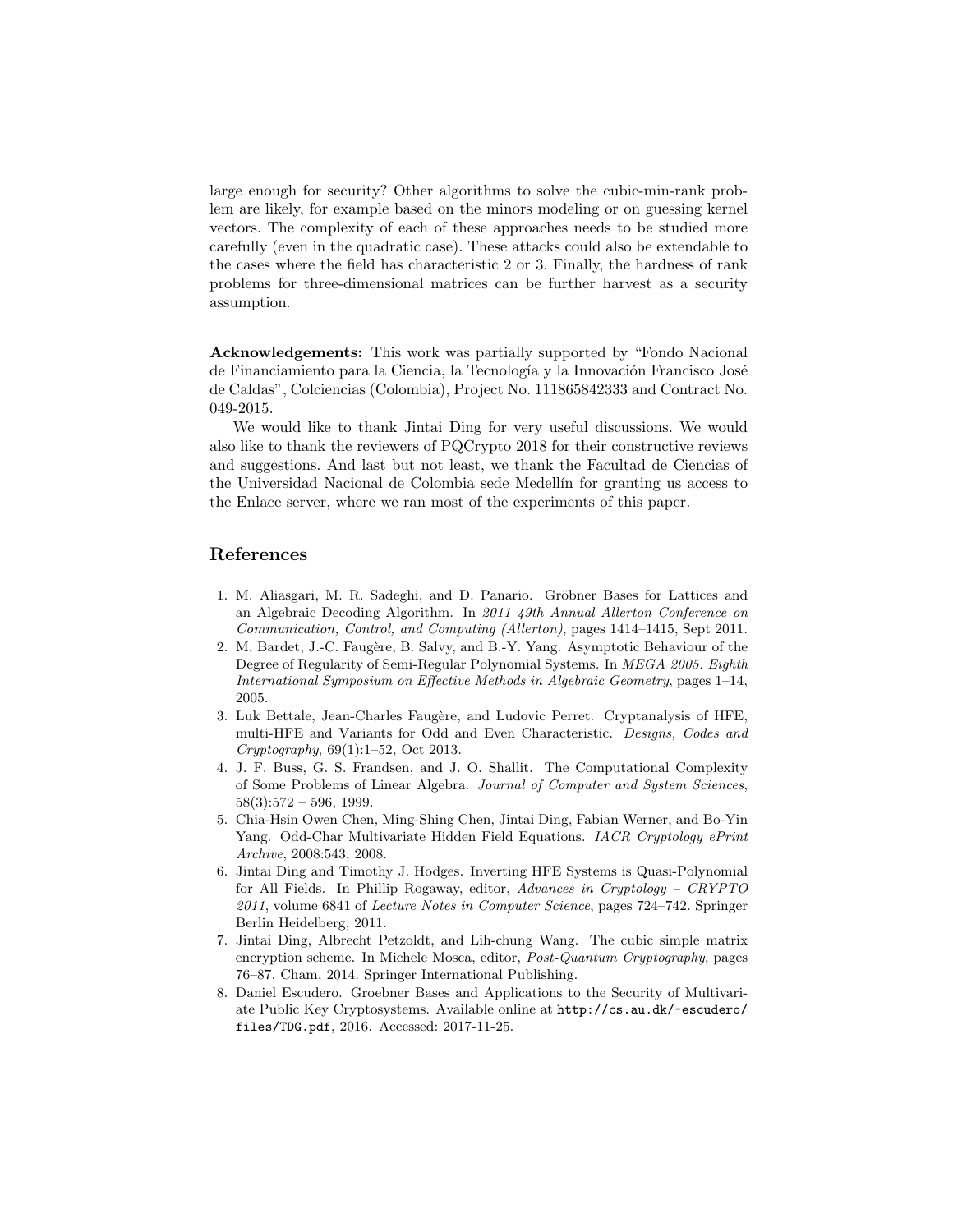large enough for security? Other algorithms to solve the cubic-min-rank problem are likely, for example based on the minors modeling or on guessing kernel vectors. The complexity of each of these approaches needs to be studied more carefully (even in the quadratic case). These attacks could also be extendable to the cases where the field has characteristic 2 or 3. Finally, the hardness of rank problems for three-dimensional matrices can be further harvest as a security assumption.

Acknowledgements: This work was partially supported by "Fondo Nacional de Financiamiento para la Ciencia, la Tecnología y la Innovación Francisco José de Caldas", Colciencias (Colombia), Project No. 111865842333 and Contract No. 049-2015.

We would like to thank Jintai Ding for very useful discussions. We would also like to thank the reviewers of PQCrypto 2018 for their constructive reviews and suggestions. And last but not least, we thank the Facultad de Ciencias of the Universidad Nacional de Colombia sede Medell´ın for granting us access to the Enlace server, where we ran most of the experiments of this paper.

# References

- 1. M. Aliasgari, M. R. Sadeghi, and D. Panario. Gröbner Bases for Lattices and an Algebraic Decoding Algorithm. In 2011 49th Annual Allerton Conference on Communication, Control, and Computing (Allerton), pages 1414–1415, Sept 2011.
- 2. M. Bardet, J.-C. Faug`ere, B. Salvy, and B.-Y. Yang. Asymptotic Behaviour of the Degree of Regularity of Semi-Regular Polynomial Systems. In MEGA 2005. Eighth International Symposium on Effective Methods in Algebraic Geometry, pages 1–14, 2005.
- 3. Luk Bettale, Jean-Charles Faugère, and Ludovic Perret. Cryptanalysis of HFE, multi-HFE and Variants for Odd and Even Characteristic. Designs, Codes and Cryptography, 69(1):1–52, Oct 2013.
- 4. J. F. Buss, G. S. Frandsen, and J. O. Shallit. The Computational Complexity of Some Problems of Linear Algebra. Journal of Computer and System Sciences,  $58(3):572 - 596, 1999.$
- 5. Chia-Hsin Owen Chen, Ming-Shing Chen, Jintai Ding, Fabian Werner, and Bo-Yin Yang. Odd-Char Multivariate Hidden Field Equations. IACR Cryptology ePrint Archive, 2008:543, 2008.
- 6. Jintai Ding and Timothy J. Hodges. Inverting HFE Systems is Quasi-Polynomial for All Fields. In Phillip Rogaway, editor, Advances in Cryptology – CRYPTO 2011, volume 6841 of Lecture Notes in Computer Science, pages 724–742. Springer Berlin Heidelberg, 2011.
- 7. Jintai Ding, Albrecht Petzoldt, and Lih-chung Wang. The cubic simple matrix encryption scheme. In Michele Mosca, editor, Post-Quantum Cryptography, pages 76–87, Cham, 2014. Springer International Publishing.
- 8. Daniel Escudero. Groebner Bases and Applications to the Security of Multivariate Public Key Cryptosystems. Available online at http://cs.au.dk/~escudero/ files/TDG.pdf, 2016. Accessed: 2017-11-25.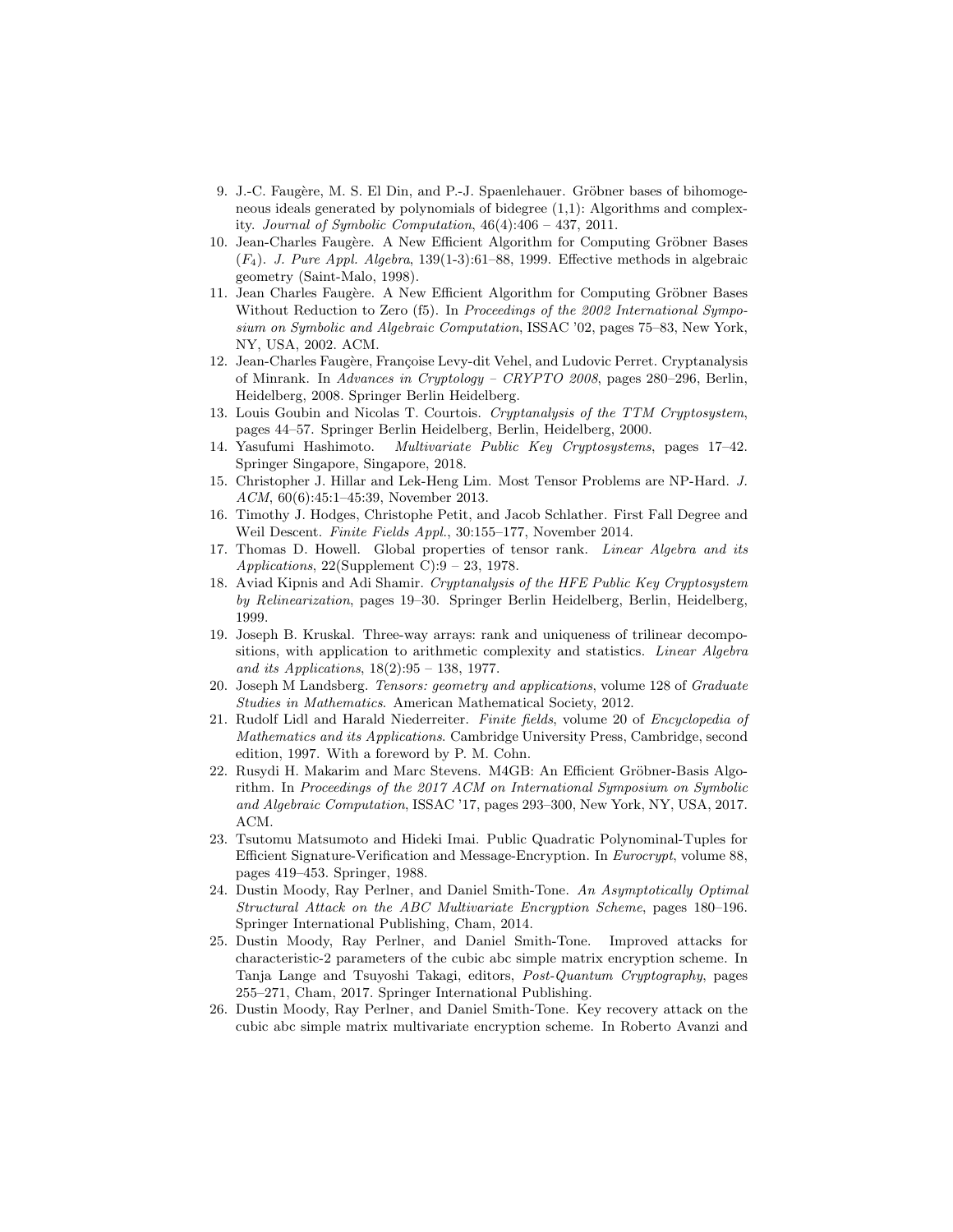- 9. J.-C. Faugère, M. S. El Din, and P.-J. Spaenlehauer. Gröbner bases of bihomogeneous ideals generated by polynomials of bidegree (1,1): Algorithms and complexity. Journal of Symbolic Computation,  $46(4):406 - 437$ , 2011.
- 10. Jean-Charles Faugère. A New Efficient Algorithm for Computing Gröbner Bases  $(F_4)$ . J. Pure Appl. Algebra, 139(1-3):61–88, 1999. Effective methods in algebraic geometry (Saint-Malo, 1998).
- 11. Jean Charles Faugère. A New Efficient Algorithm for Computing Gröbner Bases Without Reduction to Zero (f5). In Proceedings of the 2002 International Symposium on Symbolic and Algebraic Computation, ISSAC '02, pages 75–83, New York, NY, USA, 2002. ACM.
- 12. Jean-Charles Faugère, Françoise Levy-dit Vehel, and Ludovic Perret. Cryptanalysis of Minrank. In Advances in Cryptology – CRYPTO 2008, pages 280–296, Berlin, Heidelberg, 2008. Springer Berlin Heidelberg.
- 13. Louis Goubin and Nicolas T. Courtois. Cryptanalysis of the TTM Cryptosystem, pages 44–57. Springer Berlin Heidelberg, Berlin, Heidelberg, 2000.
- 14. Yasufumi Hashimoto. Multivariate Public Key Cryptosystems, pages 17–42. Springer Singapore, Singapore, 2018.
- 15. Christopher J. Hillar and Lek-Heng Lim. Most Tensor Problems are NP-Hard. J. ACM, 60(6):45:1–45:39, November 2013.
- 16. Timothy J. Hodges, Christophe Petit, and Jacob Schlather. First Fall Degree and Weil Descent. Finite Fields Appl., 30:155–177, November 2014.
- 17. Thomas D. Howell. Global properties of tensor rank. Linear Algebra and its Applications,  $22(Supplement C):9 - 23, 1978.$
- 18. Aviad Kipnis and Adi Shamir. Cryptanalysis of the HFE Public Key Cryptosystem by Relinearization, pages 19–30. Springer Berlin Heidelberg, Berlin, Heidelberg, 1999.
- 19. Joseph B. Kruskal. Three-way arrays: rank and uniqueness of trilinear decompositions, with application to arithmetic complexity and statistics. *Linear Algebra* and its Applications, 18(2):95 – 138, 1977.
- 20. Joseph M Landsberg. Tensors: geometry and applications, volume 128 of Graduate Studies in Mathematics. American Mathematical Society, 2012.
- 21. Rudolf Lidl and Harald Niederreiter. Finite fields, volume 20 of Encyclopedia of Mathematics and its Applications. Cambridge University Press, Cambridge, second edition, 1997. With a foreword by P. M. Cohn.
- 22. Rusydi H. Makarim and Marc Stevens. M4GB: An Efficient Gröbner-Basis Algorithm. In Proceedings of the 2017 ACM on International Symposium on Symbolic and Algebraic Computation, ISSAC '17, pages 293–300, New York, NY, USA, 2017. ACM.
- 23. Tsutomu Matsumoto and Hideki Imai. Public Quadratic Polynominal-Tuples for Efficient Signature-Verification and Message-Encryption. In Eurocrypt, volume 88, pages 419–453. Springer, 1988.
- 24. Dustin Moody, Ray Perlner, and Daniel Smith-Tone. An Asymptotically Optimal Structural Attack on the ABC Multivariate Encryption Scheme, pages 180–196. Springer International Publishing, Cham, 2014.
- 25. Dustin Moody, Ray Perlner, and Daniel Smith-Tone. Improved attacks for characteristic-2 parameters of the cubic abc simple matrix encryption scheme. In Tanja Lange and Tsuyoshi Takagi, editors, Post-Quantum Cryptography, pages 255–271, Cham, 2017. Springer International Publishing.
- 26. Dustin Moody, Ray Perlner, and Daniel Smith-Tone. Key recovery attack on the cubic abc simple matrix multivariate encryption scheme. In Roberto Avanzi and